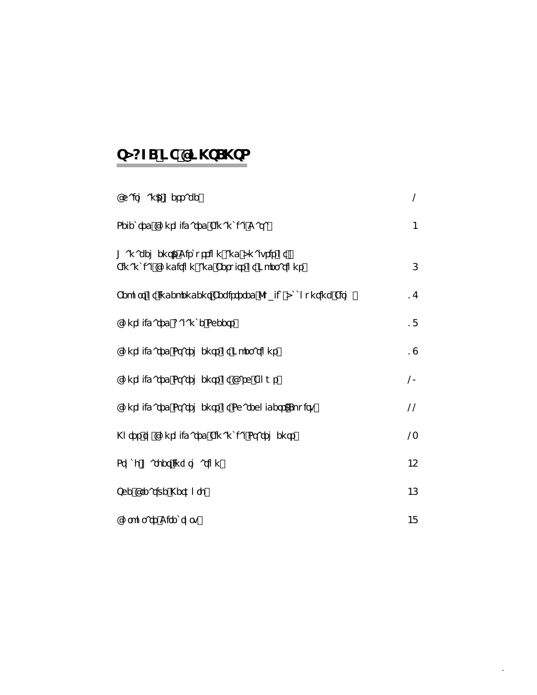# **TABLE OF CONTENTS**

| Chairman's Message                                                                       | 2              |
|------------------------------------------------------------------------------------------|----------------|
| Selected Consolidated Financial Data                                                     | $\overline{4}$ |
| Management's Discussion and Analysis of<br>Financial Condition and Results of Operations | 6              |
| Report of Independent Registered Public Accounting Firm                                  | 17             |
| <b>Consolidated Balance Sheets</b>                                                       | 18             |
| <b>Consolidated Statements of Operations</b>                                             | 19             |
| <b>Consolidated Statements of Cash Flows</b>                                             | 20             |
| Consolidated Statements of Shareholders' Equity                                          | 22             |
| Notes to Consolidated Financial Statements                                               | 23             |
| <b>Stock Market Information</b>                                                          | 45             |
| The Creative Network                                                                     | 46             |
| Corporate Directory                                                                      | 48             |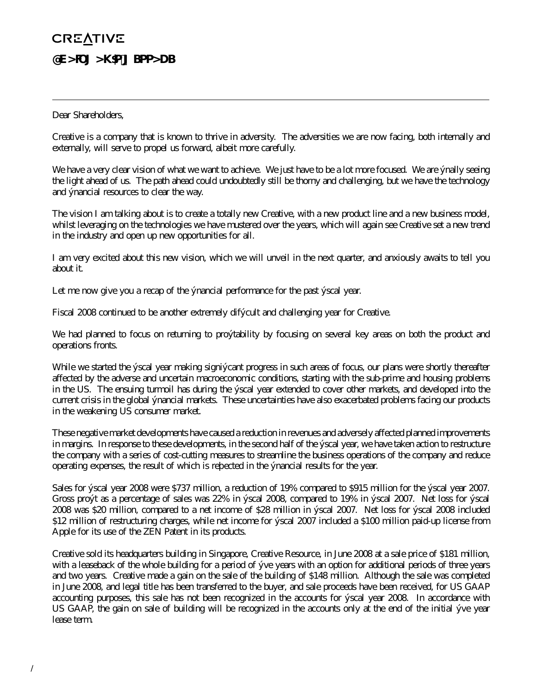# **CREATIVE CHAIRMAN'S MESSAGE**

## Dear Shareholders,

Creative is a company that is known to thrive in adversity. The adversities we are now facing, both internally and externally, will serve to propel us forward, albeit more carefully.

We have a very clear vision of what we want to achieve. We just have to be a lot more focused. We are finally seeing the light ahead of us. The path ahead could undoubtedly still be thorny and challenging, but we have the technology and financial resources to clear the way.

The vision I am talking about is to create a totally new Creative, with a new product line and a new business model, whilst leveraging on the technologies we have mustered over the years, which will again see Creative set a new trend in the industry and open up new opportunities for all.

I am very excited about this new vision, which we will unveil in the next quarter, and anxiously awaits to tell you about it.

Let me now give you a recap of the financial performance for the past fiscal year.

Fiscal 2008 continued to be another extremely difficult and challenging year for Creative.

We had planned to focus on returning to profitability by focusing on several key areas on both the product and operations fronts.

While we started the fiscal year making significant progress in such areas of focus, our plans were shortly thereafter affected by the adverse and uncertain macroeconomic conditions, starting with the sub-prime and housing problems in the US. The ensuing turmoil has during the fiscal year extended to cover other markets, and developed into the current crisis in the global financial markets. These uncertainties have also exacerbated problems facing our products in the weakening US consumer market.

These negative market developments have caused a reduction in revenues and adversely affected planned improvements in margins. In response to these developments, in the second half of the fiscal year, we have taken action to restructure the company with a series of cost-cutting measures to streamline the business operations of the company and reduce operating expenses, the result of which is reflected in the financial results for the year.

Sales for fiscal year 2008 were \$737 million, a reduction of 19% compared to \$915 million for the fiscal year 2007. Gross profit as a percentage of sales was 22% in fiscal 2008, compared to 19% in fiscal 2007. Net loss for fiscal 2008 was \$20 million, compared to a net income of \$28 million in fiscal 2007. Net loss for fiscal 2008 included \$12 million of restructuring charges, while net income for fiscal 2007 included a \$100 million paid-up license from Apple for its use of the ZEN Patent in its products.

Creative sold its headquarters building in Singapore, Creative Resource, in June 2008 at a sale price of \$181 million, with a leaseback of the whole building for a period of five years with an option for additional periods of three years and two years. Creative made a gain on the sale of the building of \$148 million. Although the sale was completed in June 2008, and legal title has been transferred to the buyer, and sale proceeds have been received, for US GAAP accounting purposes, this sale has not been recognized in the accounts for fiscal year 2008. In accordance with US GAAP, the gain on sale of building will be recognized in the accounts only at the end of the initial five year lease term.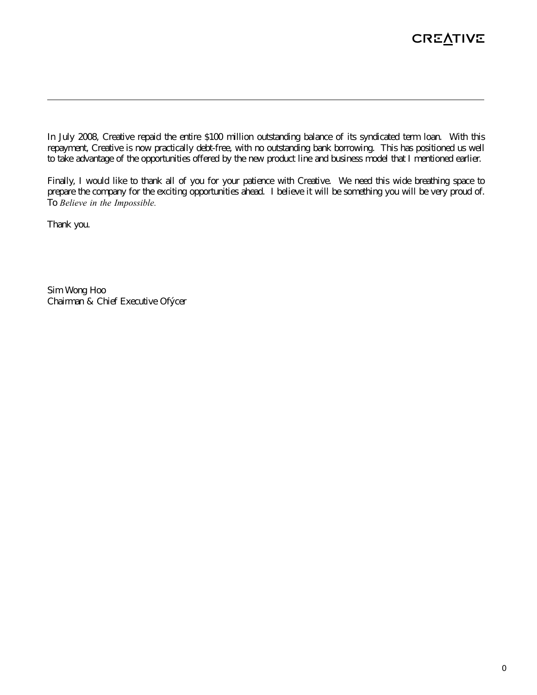In July 2008, Creative repaid the entire \$100 million outstanding balance of its syndicated term loan. With this repayment, Creative is now practically debt-free, with no outstanding bank borrowing. This has positioned us well to take advantage of the opportunities offered by the new product line and business model that I mentioned earlier.

Finally, I would like to thank all of you for your patience with Creative. We need this wide breathing space to prepare the company for the exciting opportunities ahead. I believe it will be something you will be very proud of. To *Believe in the Impossible.*

Thank you.

Sim Wong Hoo Chairman & Chief Executive Officer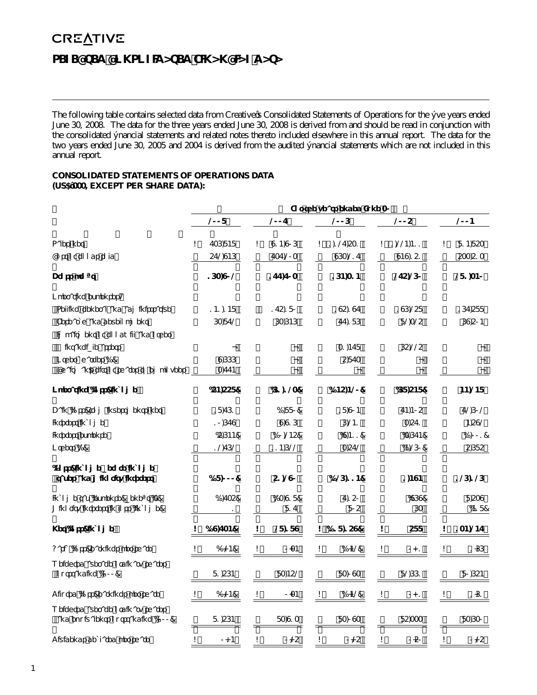# **CREATIVE SELECTED CONSOLIDATED FINANCIAL DATA**

The following table contains selected data from Creative's Consolidated Statements of Operations for the five years ended June 30, 2008. The data for the three years ended June 30, 2008 is derived from and should be read in conjunction with the consolidated financial statements and related notes thereto included elsewhere in this annual report. The data for the two years ended June 30, 2005 and 2004 is derived from the audited financial statements which are not included in this annual report.

## **CONSOLIDATED STATEMENTS OF OPERATIONS DATA (US\$'000, EXCEPT PER SHARE DATA):**

|                                                                        | For the years ended June 30 |                |    |                 |    |               |    |             |                |
|------------------------------------------------------------------------|-----------------------------|----------------|----|-----------------|----|---------------|----|-------------|----------------|
|                                                                        |                             | 2008           |    | 2007            |    | 2006          |    | 2005        | 2004           |
| Sales, net                                                             | \$                          | 736,848        | \$ | 914,906         | S  | 1,127,531     | \$ | 1,224,411   | \$<br>814,853  |
| Cost of goods sold                                                     |                             | 572,946        |    | 737,203         |    | 963,217       |    | 949,151     | 533,513        |
| Gross profit                                                           |                             | 163,902        |    | 177,703         |    | 164,314       |    | 275,260     | 281,340        |
| Operating expenses:                                                    |                             |                |    |                 |    |               |    |             |                |
| Selling, general and administrative                                    |                             | 141,148        |    | 175,180         |    | 195,197       |    | 196,258     | 167,588        |
| Research and development                                               |                             | 63,872         |    | 63,646          |    | 77,186        |    | 82,325      | 69,504         |
| Impairment of goodwill and other                                       |                             |                |    |                 |    |               |    |             |                |
| intangible assets                                                      |                             |                |    |                 |    | 31,478        |    | 65,225      |                |
| Other charges (1)<br>Chairman's gift of shares to employees            |                             | 9,666<br>3,774 |    |                 |    | 5,873         |    |             |                |
| Operating (loss) income                                                |                             | (54, 558)      |    | (61, 123)       |    | (145, 420)    |    | (68,548)    | 44,248         |
| Gain (loss) from investments, net                                      |                             | 18,761         |    | (1,880)         |    | 18,904        |    | 74,405      | 72,602         |
| Interest income                                                        |                             | 10,679         |    | 9,916           |    | 6,241         |    | 3,571       | 4,592          |
| Interest expense                                                       |                             | (5,644)        |    | (10, 245)       |    | (9, 411)      |    | (3,674)     | (1,001)        |
| Others $(2)$                                                           |                             | 12,762         |    | 114,622         |    | 3,572         |    | (4,260)     | 5,685          |
| (Loss) income before income<br>taxes and minority interest             |                             | (18,000)       |    | 51,290          |    | (126, 114)    |    | 1,494       | 126,126        |
| Income tax (expense) benefit (3)<br>Minority interest in loss (income) |                             | (1,735)<br>1   |    | (23,918)<br>817 |    | 7,150<br>805  |    | (969)<br>63 | 8,539<br>(418) |
| Net (loss) income                                                      | \$                          | (19, 734)      | \$ | 28,189          |    | $$$ (118,159) | \$ | 588         | \$<br>134,247  |
| Basic (loss) earnings per share                                        | S                           | (0.24)         | \$ | 0.34            | \$ | (1.42)        | \$ | 0.01        | \$<br>1.66     |
| Weighted average ordinary shares<br>outstanding ('OOO)                 |                             | 81.564         |    | 83.452          |    | 83,093        |    | 82.661      | 80.654         |
| Diluted (loss) earnings per share                                      | \$                          | (0.24)         | \$ | 0.34            | \$ | (1.42)        | \$ | 0.01        | \$<br>1.61     |
| Weighted average ordinary shares<br>and equivalents outstanding ('OOO) |                             | 81,564         |    | 83,913          |    | 83,093        |    | 85,333      | 83,630         |
| Dividends declared per share                                           | \$                          | 0.14           | \$ | 0.25            | \$ | 0.25          | \$ | 0.50        | \$<br>0.25     |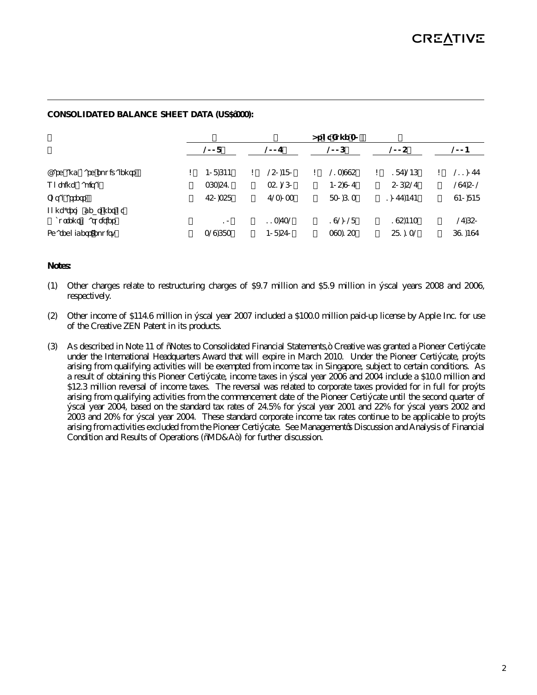## **CONSOLIDATED BALANCE SHEET DATA (US\$'000):**

|                                              |               |               | As of June 30 |               |               |
|----------------------------------------------|---------------|---------------|---------------|---------------|---------------|
|                                              | 2008          | 2007          | 2006          | 2005          | 2004          |
| Cash and cash equivalents                    | \$<br>408.644 | \$<br>250,480 | \$<br>213.995 | \$<br>187.246 | \$<br>211,077 |
| Working capital                              | 363,571       | 351,260       | 405,907       | 506,527       | 297,502       |
| Total assets                                 | 750,358       | 723,033       | 830.613       | 1.077.474     | 940,848       |
| Long-term debt, net of<br>current maturities | 10            | 113.732       | 192.028       | 195,443       | 27,650        |
| Shareholders' equity                         | 329.683       | 408,570       | 393,153       | 581,132       | 691,497       |

### **Notes:**

- (1) Other charges relate to restructuring charges of \$9.7 million and \$5.9 million in fiscal years 2008 and 2006, respectively.
- (2) Other income of \$114.6 million in fiscal year 2007 included a \$100.0 million paid-up license by Apple Inc. for use of the Creative ZEN Patent in its products.
- (3) As described in Note 11 of "Notes to Consolidated Financial Statements," Creative was granted a Pioneer Certificate under the International Headquarters Award that will expire in March 2010. Under the Pioneer Certificate, profits arising from qualifying activities will be exempted from income tax in Singapore, subject to certain conditions. As a result of obtaining this Pioneer Certificate, income taxes in fiscal year 2006 and 2004 include a \$10.0 million and \$12.3 million reversal of income taxes. The reversal was related to corporate taxes provided for in full for profits arising from qualifying activities from the commencement date of the Pioneer Certificate until the second quarter of fiscal year 2004, based on the standard tax rates of 24.5% for fiscal year 2001 and 22% for fiscal years 2002 and 2003 and 20% for fiscal year 2004. These standard corporate income tax rates continue to be applicable to profits arising from activities excluded from the Pioneer Certificate. See Management's Discussion and Analysis of Financial Condition and Results of Operations ("MD&A") for further discussion.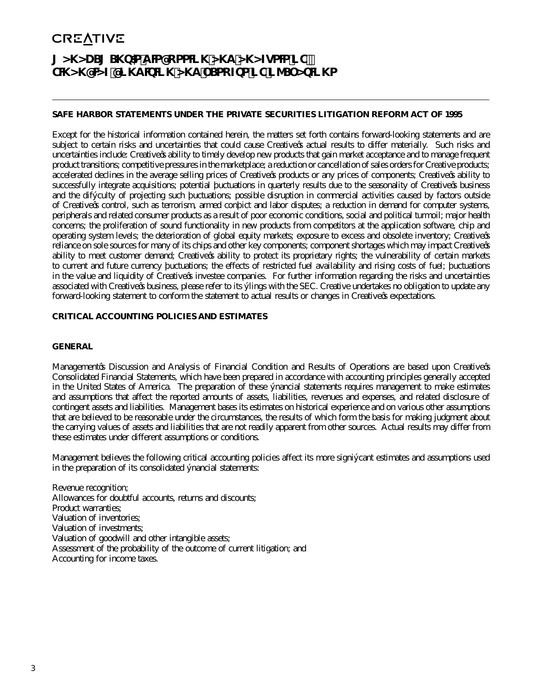# **MANAGEMENT'S DISCUSSION AND ANALYSIS OF FINANCIAL CONDITION AND RESULTS OF OPERATIONS**

### **SAFE HARBOR STATEMENTS UNDER THE PRIVATE SECURITIES LITIGATION REFORM ACT OF 1995**

Except for the historical information contained herein, the matters set forth contains forward-looking statements and are subject to certain risks and uncertainties that could cause Creative's actual results to differ materially. Such risks and uncertainties include: Creative's ability to timely develop new products that gain market acceptance and to manage frequent product transitions; competitive pressures in the marketplace; a reduction or cancellation of sales orders for Creative products; accelerated declines in the average selling prices of Creative's products or any prices of components; Creative's ability to successfully integrate acquisitions; potential fluctuations in quarterly results due to the seasonality of Creative's business and the difficulty of projecting such fluctuations; possible disruption in commercial activities caused by factors outside of Creative's control, such as terrorism, armed conflict and labor disputes; a reduction in demand for computer systems, peripherals and related consumer products as a result of poor economic conditions, social and political turmoil; major health concerns; the proliferation of sound functionality in new products from competitors at the application software, chip and operating system levels; the deterioration of global equity markets; exposure to excess and obsolete inventory; Creative's reliance on sole sources for many of its chips and other key components; component shortages which may impact Creative's ability to meet customer demand; Creative's ability to protect its proprietary rights; the vulnerability of certain markets to current and future currency fluctuations; the effects of restricted fuel availability and rising costs of fuel; fluctuations in the value and liquidity of Creative's investee companies. For further information regarding the risks and uncertainties associated with Creative's business, please refer to its filings with the SEC. Creative undertakes no obligation to update any forward-looking statement to conform the statement to actual results or changes in Creative's expectations.

### **CRITICAL ACCOUNTING POLICIES AND ESTIMATES**

#### **GENERAL**

Management's Discussion and Analysis of Financial Condition and Results of Operations are based upon Creative's Consolidated Financial Statements, which have been prepared in accordance with accounting principles generally accepted in the United States of America. The preparation of these financial statements requires management to make estimates and assumptions that affect the reported amounts of assets, liabilities, revenues and expenses, and related disclosure of contingent assets and liabilities. Management bases its estimates on historical experience and on various other assumptions that are believed to be reasonable under the circumstances, the results of which form the basis for making judgment about the carrying values of assets and liabilities that are not readily apparent from other sources. Actual results may differ from these estimates under different assumptions or conditions.

Management believes the following critical accounting policies affect its more significant estimates and assumptions used in the preparation of its consolidated financial statements:

Revenue recognition; Allowances for doubtful accounts, returns and discounts; Product warranties; Valuation of inventories; Valuation of investments; Valuation of goodwill and other intangible assets; Assessment of the probability of the outcome of current litigation; and Accounting for income taxes.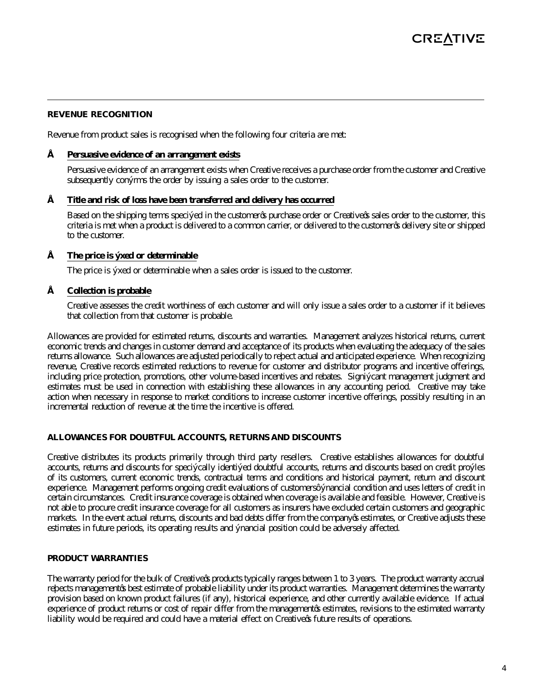#### **REVENUE RECOGNITION**

Revenue from product sales is recognised when the following four criteria are met:

#### **• Persuasive evidence of an arrangement exists**

 Persuasive evidence of an arrangement exists when Creative receives a purchase order from the customer and Creative subsequently confirms the order by issuing a sales order to the customer.

#### **• Title and risk of loss have been transferred and delivery has occurred**

 Based on the shipping terms specified in the customer's purchase order or Creative's sales order to the customer, this criteria is met when a product is delivered to a common carrier, or delivered to the customer's delivery site or shipped to the customer.

#### **• The price is fixed or determinable**

The price is fixed or determinable when a sales order is issued to the customer.

#### **• Collection is probable**

 Creative assesses the credit worthiness of each customer and will only issue a sales order to a customer if it believes that collection from that customer is probable.

Allowances are provided for estimated returns, discounts and warranties. Management analyzes historical returns, current economic trends and changes in customer demand and acceptance of its products when evaluating the adequacy of the sales returns allowance. Such allowances are adjusted periodically to reflect actual and anticipated experience. When recognizing revenue, Creative records estimated reductions to revenue for customer and distributor programs and incentive offerings, including price protection, promotions, other volume-based incentives and rebates. Significant management judgment and estimates must be used in connection with establishing these allowances in any accounting period. Creative may take action when necessary in response to market conditions to increase customer incentive offerings, possibly resulting in an incremental reduction of revenue at the time the incentive is offered.

#### **ALLOWANCES FOR DOUBTFUL ACCOUNTS, RETURNS AND DISCOUNTS**

Creative distributes its products primarily through third party resellers. Creative establishes allowances for doubtful accounts, returns and discounts for specifically identified doubtful accounts, returns and discounts based on credit profiles of its customers, current economic trends, contractual terms and conditions and historical payment, return and discount experience. Management performs ongoing credit evaluations of customers' financial condition and uses letters of credit in certain circumstances. Credit insurance coverage is obtained when coverage is available and feasible. However, Creative is not able to procure credit insurance coverage for all customers as insurers have excluded certain customers and geographic markets. In the event actual returns, discounts and bad debts differ from the company's estimates, or Creative adjusts these estimates in future periods, its operating results and financial position could be adversely affected.

#### **PRODUCT WARRANTIES**

The warranty period for the bulk of Creative's products typically ranges between 1 to 3 years. The product warranty accrual reflects management's best estimate of probable liability under its product warranties. Management determines the warranty provision based on known product failures (if any), historical experience, and other currently available evidence. If actual experience of product returns or cost of repair differ from the management's estimates, revisions to the estimated warranty liability would be required and could have a material effect on Creative's future results of operations.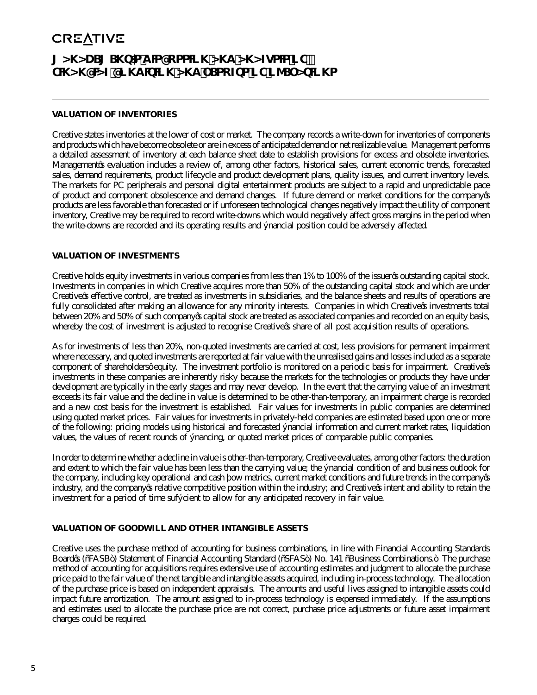# **MANAGEMENT'S DISCUSSION AND ANALYSIS OF FINANCIAL CONDITION AND RESULTS OF OPERATIONS**

## **VALUATION OF INVENTORIES**

Creative states inventories at the lower of cost or market. The company records a write-down for inventories of components and products which have become obsolete or are in excess of anticipated demand or net realizable value. Management performs a detailed assessment of inventory at each balance sheet date to establish provisions for excess and obsolete inventories. Management's evaluation includes a review of, among other factors, historical sales, current economic trends, forecasted sales, demand requirements, product lifecycle and product development plans, quality issues, and current inventory levels. The markets for PC peripherals and personal digital entertainment products are subject to a rapid and unpredictable pace of product and component obsolescence and demand changes. If future demand or market conditions for the company's products are less favorable than forecasted or if unforeseen technological changes negatively impact the utility of component inventory, Creative may be required to record write-downs which would negatively affect gross margins in the period when the write-downs are recorded and its operating results and financial position could be adversely affected.

#### **VALUATION OF INVESTMENTS**

Creative holds equity investments in various companies from less than 1% to 100% of the issuer's outstanding capital stock. Investments in companies in which Creative acquires more than 50% of the outstanding capital stock and which are under Creative's effective control, are treated as investments in subsidiaries, and the balance sheets and results of operations are fully consolidated after making an allowance for any minority interests. Companies in which Creative's investments total between 20% and 50% of such company's capital stock are treated as associated companies and recorded on an equity basis, whereby the cost of investment is adjusted to recognise Creative's share of all post acquisition results of operations.

As for investments of less than 20%, non-quoted investments are carried at cost, less provisions for permanent impairment where necessary, and quoted investments are reported at fair value with the unrealised gains and losses included as a separate component of shareholders' equity. The investment portfolio is monitored on a periodic basis for impairment. Creative's investments in these companies are inherently risky because the markets for the technologies or products they have under development are typically in the early stages and may never develop. In the event that the carrying value of an investment exceeds its fair value and the decline in value is determined to be other-than-temporary, an impairment charge is recorded and a new cost basis for the investment is established. Fair values for investments in public companies are determined using quoted market prices. Fair values for investments in privately-held companies are estimated based upon one or more of the following: pricing models using historical and forecasted financial information and current market rates, liquidation values, the values of recent rounds of financing, or quoted market prices of comparable public companies.

In order to determine whether a decline in value is other-than-temporary, Creative evaluates, among other factors: the duration and extent to which the fair value has been less than the carrying value; the financial condition of and business outlook for the company, including key operational and cash flow metrics, current market conditions and future trends in the company's industry, and the company's relative competitive position within the industry; and Creative's intent and ability to retain the investment for a period of time sufficient to allow for any anticipated recovery in fair value.

#### **VALUATION OF GOODWILL AND OTHER INTANGIBLE ASSETS**

Creative uses the purchase method of accounting for business combinations, in line with Financial Accounting Standards Board's ("FASB") Statement of Financial Accounting Standard ("SFAS") No. 141 "Business Combinations." The purchase method of accounting for acquisitions requires extensive use of accounting estimates and judgment to allocate the purchase price paid to the fair value of the net tangible and intangible assets acquired, including in-process technology. The allocation of the purchase price is based on independent appraisals. The amounts and useful lives assigned to intangible assets could impact future amortization. The amount assigned to in-process technology is expensed immediately. If the assumptions and estimates used to allocate the purchase price are not correct, purchase price adjustments or future asset impairment charges could be required.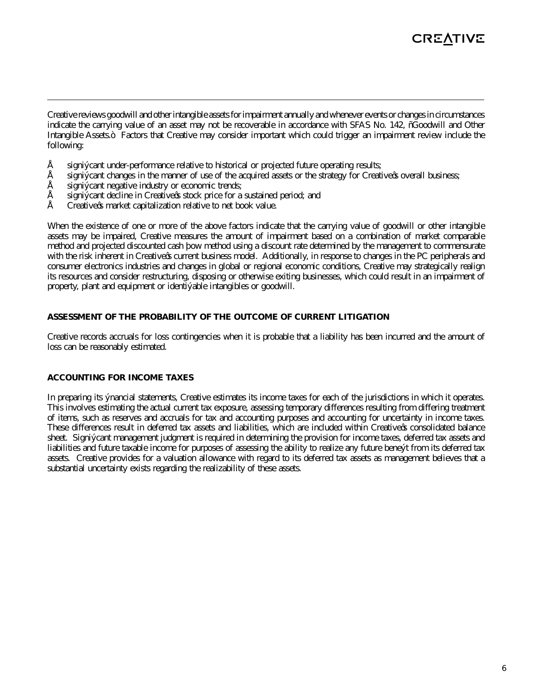Creative reviews goodwill and other intangible assets for impairment annually and whenever events or changes in circumstances indicate the carrying value of an asset may not be recoverable in accordance with SFAS No. 142, "Goodwill and Other Intangible Assets." Factors that Creative may consider important which could trigger an impairment review include the following:

- significant under-performance relative to historical or projected future operating results;
- significant changes in the manner of use of the acquired assets or the strategy for Creative's overall business;
- significant negative industry or economic trends;
- significant decline in Creative's stock price for a sustained period; and
- Creative's market capitalization relative to net book value.

When the existence of one or more of the above factors indicate that the carrying value of goodwill or other intangible assets may be impaired, Creative measures the amount of impairment based on a combination of market comparable method and projected discounted cash flow method using a discount rate determined by the management to commensurate with the risk inherent in Creative's current business model. Additionally, in response to changes in the PC peripherals and consumer electronics industries and changes in global or regional economic conditions, Creative may strategically realign its resources and consider restructuring, disposing or otherwise exiting businesses, which could result in an impairment of property, plant and equipment or identifiable intangibles or goodwill.

#### **ASSESSMENT OF THE PROBABILITY OF THE OUTCOME OF CURRENT LITIGATION**

Creative records accruals for loss contingencies when it is probable that a liability has been incurred and the amount of loss can be reasonably estimated.

#### **ACCOUNTING FOR INCOME TAXES**

In preparing its financial statements, Creative estimates its income taxes for each of the jurisdictions in which it operates. This involves estimating the actual current tax exposure, assessing temporary differences resulting from differing treatment of items, such as reserves and accruals for tax and accounting purposes and accounting for uncertainty in income taxes. These differences result in deferred tax assets and liabilities, which are included within Creative's consolidated balance sheet. Significant management judgment is required in determining the provision for income taxes, deferred tax assets and liabilities and future taxable income for purposes of assessing the ability to realize any future benefit from its deferred tax assets. Creative provides for a valuation allowance with regard to its deferred tax assets as management believes that a substantial uncertainty exists regarding the realizability of these assets.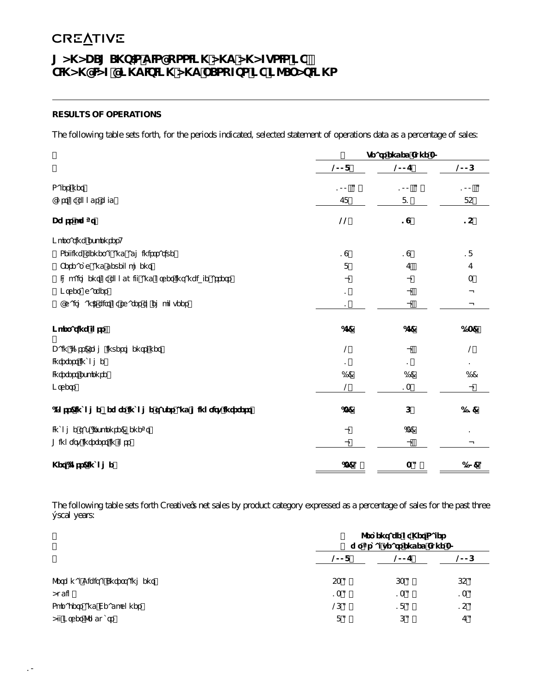# **MANAGEMENT'S DISCUSSION AND ANALYSIS OF FINANCIAL CONDITION AND RESULTS OF OPERATIONS**

# **RESULTS OF OPERATIONS**

The following table sets forth, for the periods indicated, selected statement of operations data as a percentage of sales:

|                                                         |                | Years ended June 30 |        |
|---------------------------------------------------------|----------------|---------------------|--------|
|                                                         | 2008           | 2007                | 2006   |
| Sales, net                                              | 100 %          | 100 %               | 100 %  |
| Cost of goods sold                                      | 78             | 81                  | 85     |
| Gross profit                                            | 22             | 19                  | 15     |
| Operating expenses:                                     |                |                     |        |
| Selling, general and administrative                     | 19             | 19                  | 18     |
| Research and development                                | 8              | 7                   | 7      |
| Impairment of goodwill and other intangible assets      |                |                     | 3      |
| Other charges                                           | 1              |                     |        |
| Chairman's gift of shares to employees                  | 1              |                     |        |
| Operating loss                                          | (7)            | (7)                 | (13)   |
| Gain (loss) from investments, net                       | 2              |                     | 2      |
| Interest income                                         | 1              |                     | 1      |
| Interest expense                                        | (1)            | (1)                 | (1)    |
| Others                                                  | $\overline{2}$ | 13                  |        |
| (Loss) income before income taxes and minority interest | (3)            | 6                   | (11)   |
| Income tax (expense) benefit                            |                | (3)                 | 1      |
| Minority interest in loss                               |                |                     |        |
| Net (loss) income                                       | $(3)$ %        | 3%                  | (10) % |

The following table sets forth Creative's net sales by product category expressed as a percentage of sales for the past three fiscal years:

|                                |      | Percentage of Net Sales<br>for fiscal years ended June 30 |      |
|--------------------------------|------|-----------------------------------------------------------|------|
|                                | 2008 | 2007                                                      | 2006 |
| Personal Digital Entertainment | 53%  | 63%                                                       | 65%  |
| Audio                          | 13%  | 13%                                                       | 13%  |
| Speakers and Headphones        | 26%  | 18%                                                       | 15%  |
| All Other Products             | 8%   | 6%                                                        | 7%   |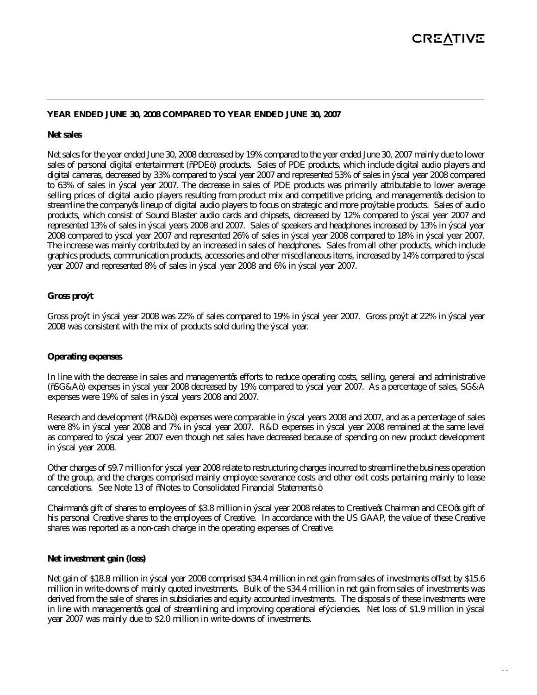#### **YEAR ENDED JUNE 30, 2008 COMPARED TO YEAR ENDED JUNE 30, 2007**

#### **Net sales**

Net sales for the year ended June 30, 2008 decreased by 19% compared to the year ended June 30, 2007 mainly due to lower sales of personal digital entertainment ("PDE") products. Sales of PDE products, which include digital audio players and digital cameras, decreased by 33% compared to fiscal year 2007 and represented 53% of sales in fiscal year 2008 compared to 63% of sales in fiscal year 2007. The decrease in sales of PDE products was primarily attributable to lower average selling prices of digital audio players resulting from product mix and competitive pricing, and management's decision to streamline the company's lineup of digital audio players to focus on strategic and more profitable products. Sales of audio products, which consist of Sound Blaster audio cards and chipsets, decreased by 12% compared to fiscal year 2007 and represented 13% of sales in fiscal years 2008 and 2007. Sales of speakers and headphones increased by 13% in fiscal year 2008 compared to fiscal year 2007 and represented 26% of sales in fiscal year 2008 compared to 18% in fiscal year 2007. The increase was mainly contributed by an increased in sales of headphones. Sales from all other products, which include graphics products, communication products, accessories and other miscellaneous items, increased by 14% compared to fiscal year 2007 and represented 8% of sales in fiscal year 2008 and 6% in fiscal year 2007.

#### **Gross profit**

Gross profit in fiscal year 2008 was 22% of sales compared to 19% in fiscal year 2007. Gross profit at 22% in fiscal year 2008 was consistent with the mix of products sold during the fiscal year.

### **Operating expenses**

In line with the decrease in sales and management's efforts to reduce operating costs, selling, general and administrative ("SG&A") expenses in fiscal year 2008 decreased by 19% compared to fiscal year 2007. As a percentage of sales, SG&A expenses were 19% of sales in fiscal years 2008 and 2007.

Research and development ("R&D") expenses were comparable in fiscal years 2008 and 2007, and as a percentage of sales were 8% in fiscal year 2008 and 7% in fiscal year 2007. R&D expenses in fiscal year 2008 remained at the same level as compared to fiscal year 2007 even though net sales have decreased because of spending on new product development in fiscal year 2008.

Other charges of \$9.7 million for fiscal year 2008 relate to restructuring charges incurred to streamline the business operation of the group, and the charges comprised mainly employee severance costs and other exit costs pertaining mainly to lease cancelations. See Note 13 of "Notes to Consolidated Financial Statements."

Chairman's gift of shares to employees of \$3.8 million in fiscal year 2008 relates to Creative's Chairman and CEO's gift of his personal Creative shares to the employees of Creative. In accordance with the US GAAP, the value of these Creative shares was reported as a non-cash charge in the operating expenses of Creative.

#### **Net investment gain (loss)**

Net gain of \$18.8 million in fiscal year 2008 comprised \$34.4 million in net gain from sales of investments offset by \$15.6 million in write-downs of mainly quoted investments. Bulk of the \$34.4 million in net gain from sales of investments was derived from the sale of shares in subsidiaries and equity accounted investments. The disposals of these investments were in line with management's goal of streamlining and improving operational efficiencies. Net loss of \$1.9 million in fiscal year 2007 was mainly due to \$2.0 million in write-downs of investments.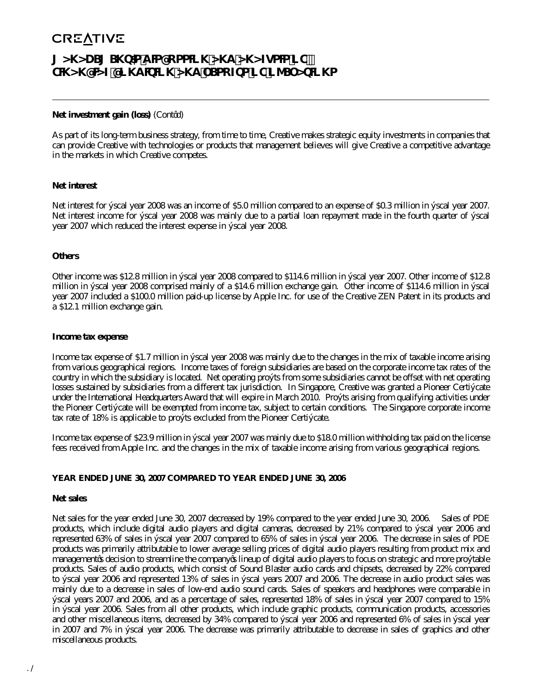# **MANAGEMENT'S DISCUSSION AND ANALYSIS OF FINANCIAL CONDITION AND RESULTS OF OPERATIONS**

#### **Net investment gain (loss)** (Cont'd)

As part of its long-term business strategy, from time to time, Creative makes strategic equity investments in companies that can provide Creative with technologies or products that management believes will give Creative a competitive advantage in the markets in which Creative competes.

#### **Net interest**

Net interest for fiscal year 2008 was an income of \$5.0 million compared to an expense of \$0.3 million in fiscal year 2007. Net interest income for fiscal year 2008 was mainly due to a partial loan repayment made in the fourth quarter of fiscal year 2007 which reduced the interest expense in fiscal year 2008.

#### **Others**

Other income was \$12.8 million in fiscal year 2008 compared to \$114.6 million in fiscal year 2007. Other income of \$12.8 million in fiscal year 2008 comprised mainly of a \$14.6 million exchange gain. Other income of \$114.6 million in fiscal year 2007 included a \$100.0 million paid-up license by Apple Inc. for use of the Creative ZEN Patent in its products and a \$12.1 million exchange gain.

#### **Income tax expense**

Income tax expense of \$1.7 million in fiscal year 2008 was mainly due to the changes in the mix of taxable income arising from various geographical regions. Income taxes of foreign subsidiaries are based on the corporate income tax rates of the country in which the subsidiary is located. Net operating profits from some subsidiaries cannot be offset with net operating losses sustained by subsidiaries from a different tax jurisdiction. In Singapore, Creative was granted a Pioneer Certificate under the International Headquarters Award that will expire in March 2010. Profits arising from qualifying activities under the Pioneer Certificate will be exempted from income tax, subject to certain conditions. The Singapore corporate income tax rate of 18% is applicable to profits excluded from the Pioneer Certificate.

Income tax expense of \$23.9 million in fiscal year 2007 was mainly due to \$18.0 million withholding tax paid on the license fees received from Apple Inc. and the changes in the mix of taxable income arising from various geographical regions.

## **YEAR ENDED JUNE 30, 2007 COMPARED TO YEAR ENDED JUNE 30, 2006**

#### **Net sales**

Net sales for the year ended June 30, 2007 decreased by 19% compared to the year ended June 30, 2006. Sales of PDE products, which include digital audio players and digital cameras, decreased by 21% compared to fiscal year 2006 and represented 63% of sales in fiscal year 2007 compared to 65% of sales in fiscal year 2006. The decrease in sales of PDE products was primarily attributable to lower average selling prices of digital audio players resulting from product mix and management's decision to streamline the company's lineup of digital audio players to focus on strategic and more profitable products. Sales of audio products, which consist of Sound Blaster audio cards and chipsets, decreased by 22% compared to fiscal year 2006 and represented 13% of sales in fiscal years 2007 and 2006. The decrease in audio product sales was mainly due to a decrease in sales of low-end audio sound cards. Sales of speakers and headphones were comparable in fiscal years 2007 and 2006, and as a percentage of sales, represented 18% of sales in fiscal year 2007 compared to 15% in fiscal year 2006. Sales from all other products, which include graphic products, communication products, accessories and other miscellaneous items, decreased by 34% compared to fiscal year 2006 and represented 6% of sales in fiscal year in 2007 and 7% in fiscal year 2006. The decrease was primarily attributable to decrease in sales of graphics and other miscellaneous products.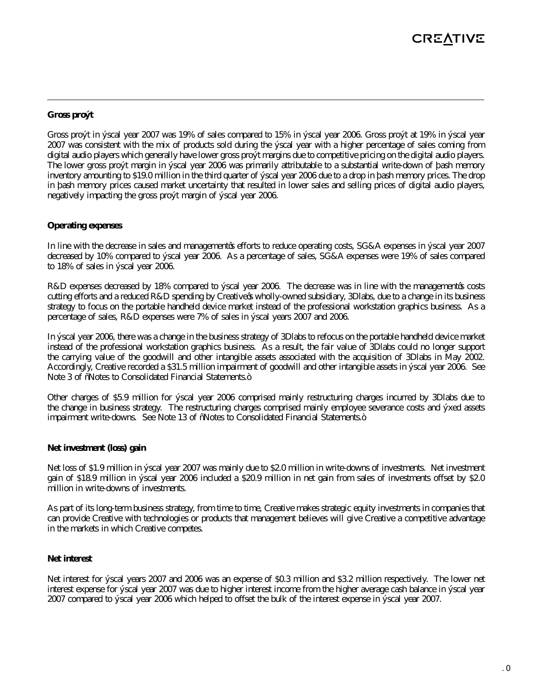#### **Gross profit**

Gross profit in fiscal year 2007 was 19% of sales compared to 15% in fiscal year 2006. Gross profit at 19% in fiscal year 2007 was consistent with the mix of products sold during the fiscal year with a higher percentage of sales coming from digital audio players which generally have lower gross profit margins due to competitive pricing on the digital audio players. The lower gross profit margin in fiscal year 2006 was primarily attributable to a substantial write-down of flash memory inventory amounting to \$19.0 million in the third quarter of fiscal year 2006 due to a drop in flash memory prices. The drop in flash memory prices caused market uncertainty that resulted in lower sales and selling prices of digital audio players, negatively impacting the gross profit margin of fiscal year 2006.

#### **Operating expenses**

In line with the decrease in sales and management's efforts to reduce operating costs, SG&A expenses in fiscal year 2007 decreased by 10% compared to fiscal year 2006. As a percentage of sales, SG&A expenses were 19% of sales compared to 18% of sales in fiscal year 2006.

R&D expenses decreased by 18% compared to fiscal year 2006. The decrease was in line with the management's costs cutting efforts and a reduced R&D spending by Creative's wholly-owned subsidiary, 3Dlabs, due to a change in its business strategy to focus on the portable handheld device market instead of the professional workstation graphics business. As a percentage of sales, R&D expenses were 7% of sales in fiscal years 2007 and 2006.

In fiscal year 2006, there was a change in the business strategy of 3Dlabs to refocus on the portable handheld device market instead of the professional workstation graphics business. As a result, the fair value of 3Dlabs could no longer support the carrying value of the goodwill and other intangible assets associated with the acquisition of 3Dlabs in May 2002. Accordingly, Creative recorded a \$31.5 million impairment of goodwill and other intangible assets in fiscal year 2006. See Note 3 of "Notes to Consolidated Financial Statements."

Other charges of \$5.9 million for fiscal year 2006 comprised mainly restructuring charges incurred by 3Dlabs due to the change in business strategy. The restructuring charges comprised mainly employee severance costs and fixed assets impairment write-downs. See Note 13 of "Notes to Consolidated Financial Statements."

#### **Net investment (loss) gain**

Net loss of \$1.9 million in fiscal year 2007 was mainly due to \$2.0 million in write-downs of investments. Net investment gain of \$18.9 million in fiscal year 2006 included a \$20.9 million in net gain from sales of investments offset by \$2.0 million in write-downs of investments.

As part of its long-term business strategy, from time to time, Creative makes strategic equity investments in companies that can provide Creative with technologies or products that management believes will give Creative a competitive advantage in the markets in which Creative competes.

#### **Net interest**

Net interest for fiscal years 2007 and 2006 was an expense of \$0.3 million and \$3.2 million respectively. The lower net interest expense for fiscal year 2007 was due to higher interest income from the higher average cash balance in fiscal year 2007 compared to fiscal year 2006 which helped to offset the bulk of the interest expense in fiscal year 2007.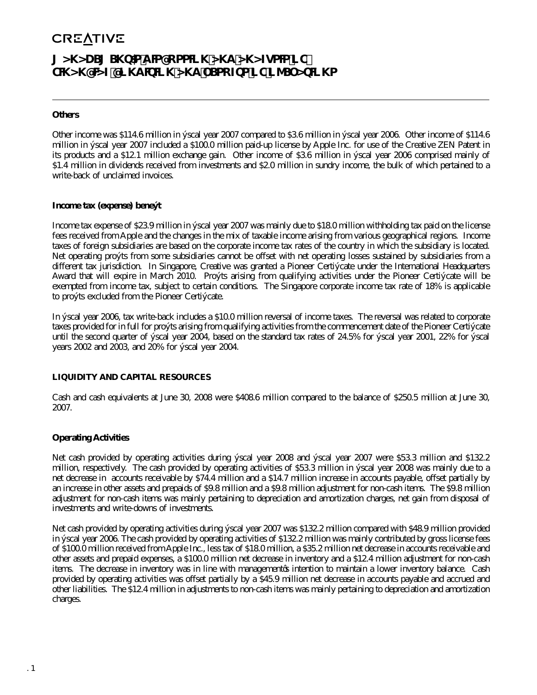# **MANAGEMENT'S DISCUSSION AND ANALYSIS OF FINANCIAL CONDITION AND RESULTS OF OPERATIONS**

#### **Others**

Other income was \$114.6 million in fiscal year 2007 compared to \$3.6 million in fiscal year 2006. Other income of \$114.6 million in fiscal year 2007 included a \$100.0 million paid-up license by Apple Inc. for use of the Creative ZEN Patent in its products and a \$12.1 million exchange gain. Other income of \$3.6 million in fiscal year 2006 comprised mainly of \$1.4 million in dividends received from investments and \$2.0 million in sundry income, the bulk of which pertained to a write-back of unclaimed invoices.

#### **Income tax (expense) benefit**

Income tax expense of \$23.9 million in fiscal year 2007 was mainly due to \$18.0 million withholding tax paid on the license fees received from Apple and the changes in the mix of taxable income arising from various geographical regions. Income taxes of foreign subsidiaries are based on the corporate income tax rates of the country in which the subsidiary is located. Net operating profits from some subsidiaries cannot be offset with net operating losses sustained by subsidiaries from a different tax jurisdiction. In Singapore, Creative was granted a Pioneer Certificate under the International Headquarters Award that will expire in March 2010. Profits arising from qualifying activities under the Pioneer Certificate will be exempted from income tax, subject to certain conditions. The Singapore corporate income tax rate of 18% is applicable to profits excluded from the Pioneer Certificate.

In fiscal year 2006, tax write-back includes a \$10.0 million reversal of income taxes. The reversal was related to corporate taxes provided for in full for profits arising from qualifying activities from the commencement date of the Pioneer Certificate until the second quarter of fiscal year 2004, based on the standard tax rates of 24.5% for fiscal year 2001, 22% for fiscal years 2002 and 2003, and 20% for fiscal year 2004.

## **LIQUIDITY AND CAPITAL RESOURCES**

Cash and cash equivalents at June 30, 2008 were \$408.6 million compared to the balance of \$250.5 million at June 30, 2007.

## **Operating Activities**

Net cash provided by operating activities during fiscal year 2008 and fiscal year 2007 were \$53.3 million and \$132.2 million, respectively. The cash provided by operating activities of \$53.3 million in fiscal year 2008 was mainly due to a net decrease in accounts receivable by \$74.4 million and a \$14.7 million increase in accounts payable, offset partially by an increase in other assets and prepaids of \$9.8 million and a \$9.8 million adjustment for non-cash items. The \$9.8 million adjustment for non-cash items was mainly pertaining to depreciation and amortization charges, net gain from disposal of investments and write-downs of investments.

Net cash provided by operating activities during fiscal year 2007 was \$132.2 million compared with \$48.9 million provided in fiscal year 2006. The cash provided by operating activities of \$132.2 million was mainly contributed by gross license fees of \$100.0 million received from Apple Inc., less tax of \$18.0 million, a \$35.2 million net decrease in accounts receivable and other assets and prepaid expenses, a \$100.0 million net decrease in inventory and a \$12.4 million adjustment for non-cash items. The decrease in inventory was in line with management's intention to maintain a lower inventory balance. Cash provided by operating activities was offset partially by a \$45.9 million net decrease in accounts payable and accrued and other liabilities. The \$12.4 million in adjustments to non-cash items was mainly pertaining to depreciation and amortization charges.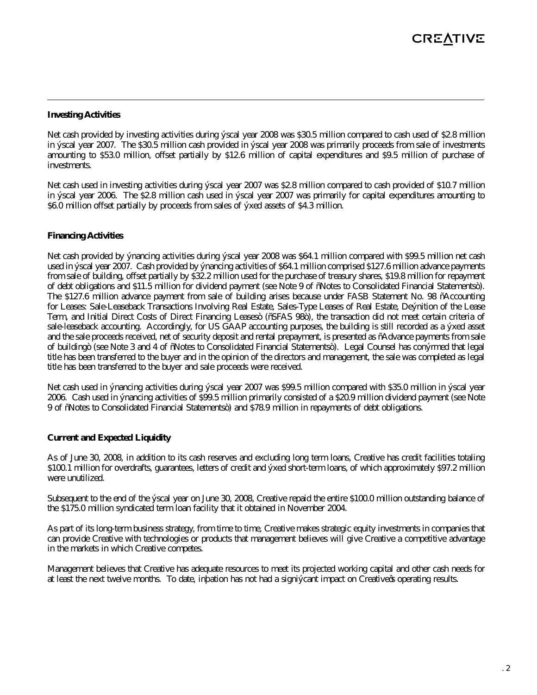#### **Investing Activities**

Net cash provided by investing activities during fiscal year 2008 was \$30.5 million compared to cash used of \$2.8 million in fiscal year 2007. The \$30.5 million cash provided in fiscal year 2008 was primarily proceeds from sale of investments amounting to \$53.0 million, offset partially by \$12.6 million of capital expenditures and \$9.5 million of purchase of investments.

Net cash used in investing activities during fiscal year 2007 was \$2.8 million compared to cash provided of \$10.7 million in fiscal year 2006. The \$2.8 million cash used in fiscal year 2007 was primarily for capital expenditures amounting to \$6.0 million offset partially by proceeds from sales of fixed assets of \$4.3 million.

## **Financing Activities**

Net cash provided by financing activities during fiscal year 2008 was \$64.1 million compared with \$99.5 million net cash used in fiscal year 2007. Cash provided by financing activities of \$64.1 million comprised \$127.6 million advance payments from sale of building, offset partially by \$32.2 million used for the purchase of treasury shares, \$19.8 million for repayment of debt obligations and \$11.5 million for dividend payment (see Note 9 of "Notes to Consolidated Financial Statements"). The \$127.6 million advance payment from sale of building arises because under FASB Statement No. 98 "Accounting for Leases: Sale-Leaseback Transactions Involving Real Estate, Sales-Type Leases of Real Estate, Definition of the Lease Term, and Initial Direct Costs of Direct Financing Leases" ("SFAS 98"), the transaction did not meet certain criteria of sale-leaseback accounting. Accordingly, for US GAAP accounting purposes, the building is still recorded as a fixed asset and the sale proceeds received, net of security deposit and rental prepayment, is presented as "Advance payments from sale of building" (see Note 3 and 4 of "Notes to Consolidated Financial Statements"). Legal Counsel has confirmed that legal title has been transferred to the buyer and in the opinion of the directors and management, the sale was completed as legal title has been transferred to the buyer and sale proceeds were received.

Net cash used in financing activities during fiscal year 2007 was \$99.5 million compared with \$35.0 million in fiscal year 2006. Cash used in financing activities of \$99.5 million primarily consisted of a \$20.9 million dividend payment (see Note 9 of "Notes to Consolidated Financial Statements") and \$78.9 million in repayments of debt obligations.

#### **Current and Expected Liquidity**

As of June 30, 2008, in addition to its cash reserves and excluding long term loans, Creative has credit facilities totaling \$100.1 million for overdrafts, guarantees, letters of credit and fixed short-term loans, of which approximately \$97.2 million were unutilized.

Subsequent to the end of the fiscal year on June 30, 2008, Creative repaid the entire \$100.0 million outstanding balance of the \$175.0 million syndicated term loan facility that it obtained in November 2004.

As part of its long-term business strategy, from time to time, Creative makes strategic equity investments in companies that can provide Creative with technologies or products that management believes will give Creative a competitive advantage in the markets in which Creative competes.

Management believes that Creative has adequate resources to meet its projected working capital and other cash needs for at least the next twelve months. To date, inflation has not had a significant impact on Creative's operating results.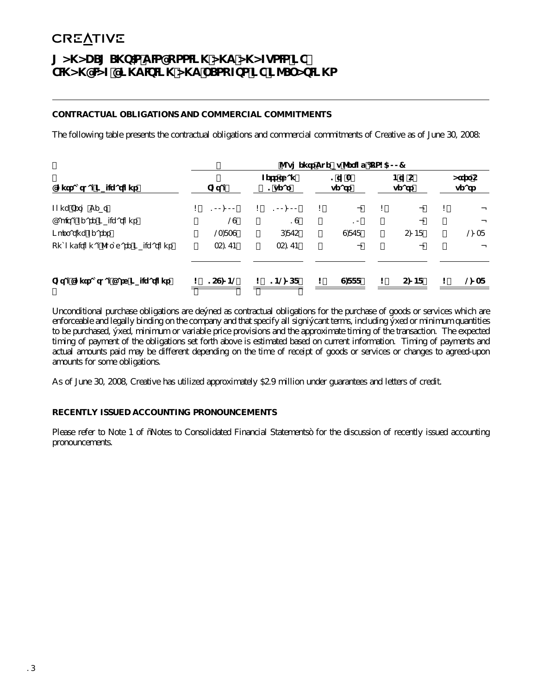# **MANAGEMENT'S DISCUSSION AND ANALYSIS OF FINANCIAL CONDITION AND RESULTS OF OPERATIONS**

## **CONTRACTUAL OBLIGATIONS AND COMMERCIAL COMMITMENTS**

The following table presents the contractual obligations and commercial commitments of Creative as of June 30, 2008:

|                                    |               |                     | Payments Due by Period (US\$'000) |                   |                  |
|------------------------------------|---------------|---------------------|-----------------------------------|-------------------|------------------|
| <b>Contractual Obligations</b>     | Total         | Less than<br>1 year | 1 to $3$<br>years                 | $4$ to 5<br>years | After 5<br>years |
| Long Term Debt                     | \$<br>100,000 | \$<br>100,000       | \$                                | \$                | \$               |
| Capital Lease Obligations          | 29            | 19                  | 10                                |                   |                  |
| <b>Operating Leases</b>            | 23,839        | 6.875               | 9,878                             | 5.048             | 2038             |
| Unconditional Purchase Obligations | 35.174        | 35,174              |                                   |                   |                  |
| Total Contractual Cash Obligations | 159,042       | \$<br>142068        | \$<br>9,888                       | \$<br>5,048       | \$<br>2,038      |

Unconditional purchase obligations are defined as contractual obligations for the purchase of goods or services which are enforceable and legally binding on the company and that specify all significant terms, including fixed or minimum quantities to be purchased, fixed, minimum or variable price provisions and the approximate timing of the transaction. The expected timing of payment of the obligations set forth above is estimated based on current information. Timing of payments and actual amounts paid may be different depending on the time of receipt of goods or services or changes to agreed-upon amounts for some obligations.

As of June 30, 2008, Creative has utilized approximately \$2.9 million under guarantees and letters of credit.

## **RECENTLY ISSUED ACCOUNTING PRONOUNCEMENTS**

Please refer to Note 1 of "Notes to Consolidated Financial Statements" for the discussion of recently issued accounting pronouncements.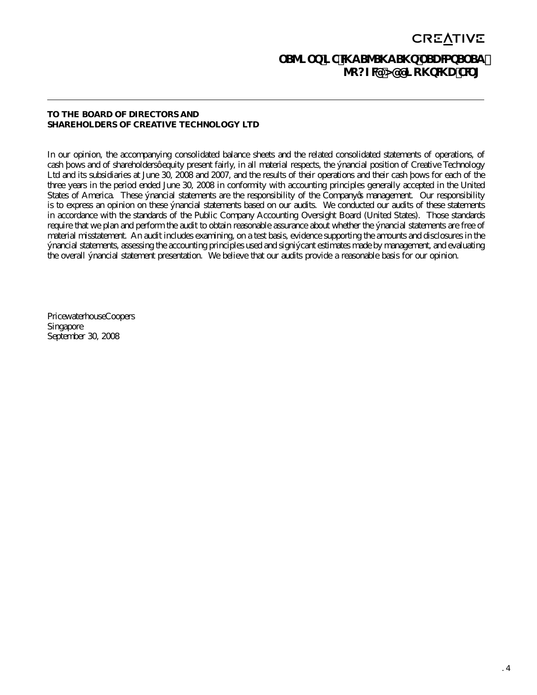# **CREATIVE REPORT OF INDEPENDENT REGISTERED PUBLIC ACCOUNTING FIRM**

### **TO THE BOARD OF DIRECTORS AND SHAREHOLDERS OF CREATIVE TECHNOLOGY LTD**

In our opinion, the accompanying consolidated balance sheets and the related consolidated statements of operations, of cash flows and of shareholders' equity present fairly, in all material respects, the financial position of Creative Technology Ltd and its subsidiaries at June 30, 2008 and 2007, and the results of their operations and their cash flows for each of the three years in the period ended June 30, 2008 in conformity with accounting principles generally accepted in the United States of America. These financial statements are the responsibility of the Company's management. Our responsibility is to express an opinion on these financial statements based on our audits. We conducted our audits of these statements in accordance with the standards of the Public Company Accounting Oversight Board (United States). Those standards require that we plan and perform the audit to obtain reasonable assurance about whether the financial statements are free of material misstatement. An audit includes examining, on a test basis, evidence supporting the amounts and disclosures in the financial statements, assessing the accounting principles used and significant estimates made by management, and evaluating the overall financial statement presentation. We believe that our audits provide a reasonable basis for our opinion.

PricewaterhouseCoopers Singapore September 30, 2008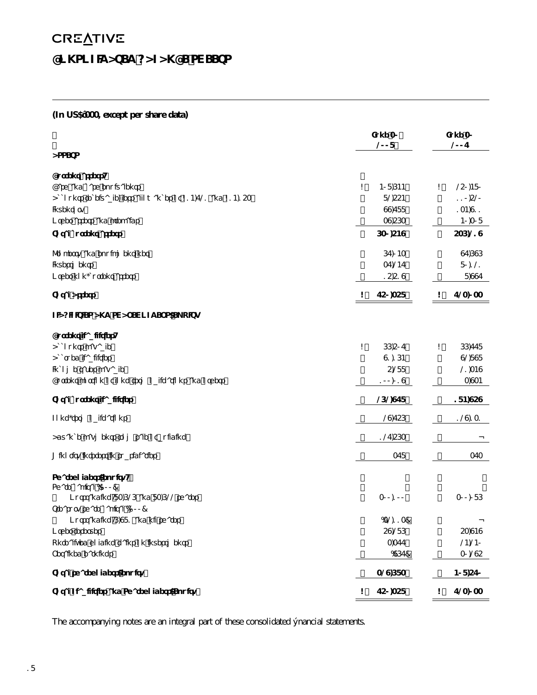# **CREATIVE CONSOLIDATED BALANCE SHEETS**

# **(In US\$'000, except per share data)**

|                                                               | June 30<br>2008 | June 30<br>2007 |
|---------------------------------------------------------------|-----------------|-----------------|
| <b>ASSETS</b>                                                 |                 |                 |
| <b>Current assets</b>                                         |                 |                 |
| Cash and cash equivalents                                     | \$<br>408,644   | \$<br>250,480   |
| Accounts receivable, less allowances of \$14,721 and \$14,153 | 82,554          | 110,520         |
| Inventory                                                     | 99,788          | 134,911         |
| Other assets and prepaids                                     | 39,563          | 40,308          |
| <b>Total current assets</b>                                   | 630,549         | 536,219         |
| Property and equipment, net                                   | 67,043          | 97,696          |
| Investments                                                   | 37,247          | 80,121          |
| Other non-current assets                                      | 15,519          | 8,997           |
| <b>Total Assets</b>                                           | \$<br>750,358   | 723,033<br>\$   |
| LIABILITIES AND SHAREHOLDERS' EQUITY                          |                 |                 |
| <b>Current liabilities</b>                                    |                 |                 |
| Accounts payable                                              | \$<br>66,507    | \$<br>66,778    |
| <b>Accrued liabilities</b>                                    | 91,164          | 92,898          |
| Income taxes payable                                          | 5,288           | 21,349          |
| Current portion of long term obligations and others           | 100,019         | 3,934           |
| <b>Total current liabilities</b>                              | 262,978         | 184,959         |
| Long-term obligations                                         | 29,756          | 129,131         |
| Advance payments from sale of building                        | 127,563         |                 |
| Minority interest in subsidiaries                             | 378             | 373             |
| Shareholders' equity:                                         |                 |                 |
| Share capital ('OOO)                                          |                 |                 |
| Outstanding: 83,626 and 83,622 shares                         | 300,100         | 300,086         |
| Treasury share capital ('OOO)                                 |                 |                 |
| Outstanding: 6,981 and nil shares                             | (32, 113)       |                 |
| Other reserves                                                | 59,286          | 53,949          |
| Unrealized holding gains on investments                       | 3,377           | 24,240          |
| Retained earnings                                             | (967)           | 30,295          |
| Total shareholders' equity                                    | 329,683         | 408,570         |
| Total Liabilities and Shareholders' Equity                    | \$<br>750,358   | \$<br>723,033   |

The accompanying notes are an integral part of these consolidated financial statements.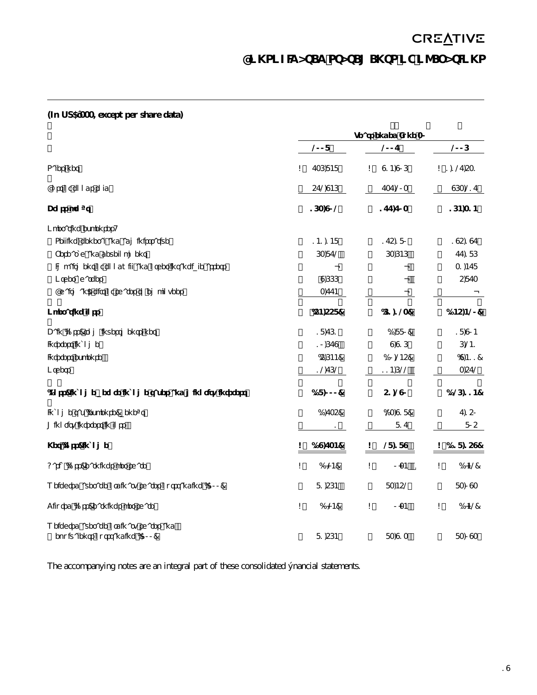# **CREATIVE CONSOLIDATED STATEMENTS OF OPERATIONS**

# **(In US\$'000, except per share data)**

|                                                         |                 | Years ended June 30 |                  |
|---------------------------------------------------------|-----------------|---------------------|------------------|
|                                                         | 2008            | 2007                | 2006             |
| Sales, net                                              | \$<br>736,848   | \$<br>914,906       | \$1,127,531      |
| Cost of goods sold                                      | 572,946         | 737,203             | 963,217          |
| Gross profit                                            | 163,902         | 177,703             | 164,314          |
| Operating expenses:                                     |                 |                     |                  |
| Selling, general and administrative                     | 141,148         | 175,180             | 195,197          |
| Research and development                                | 63,872          | 63,646              | 77,186           |
| Impairment of goodwill and other intangible assets      |                 |                     | 31,478           |
| Other charges                                           | 9,666           |                     | 5,873            |
| Chairman's gift of shares to employees                  | 3,774           |                     |                  |
| <b>Operating loss</b>                                   | (54, 558)       | (61, 123)           | (145, 420)       |
| Gain (loss) from investments, net                       | 18,761          | (1,880)             | 18,904           |
| Interest income                                         | 10,679          | 9,916               | 6,241            |
| Interest expense                                        | (5,644)         | (10, 245)           | (9, 411)         |
| Others                                                  | 12,762          | 114,622             | 3,572            |
| (Loss) income before income taxes and minority interest | (18,000)        | 51,290              | (126, 114)       |
| Income tax (expense) benefit                            | (1,735)         | (23, 918)           | 7,150            |
| Minority interest in loss                               | 1               | 817                 | 805              |
| Net (loss) income                                       | \$<br>(19, 734) | \$<br>28,189        | \$<br>(118, 159) |
| Basic (loss) earnings per share                         | \$<br>(0.24)    | \$<br>0.34          | \$<br>(1.42)     |
| Weighted average ordinary shares outstanding ('OOO)     | 81,564          | 83,452              | 83,093           |
| Diluted (loss) earnings per share                       | \$<br>(0.24)    | \$<br>0.34          | \$<br>(1.42)     |
| Weighted average ordinary shares and                    |                 |                     |                  |
| equivalents outstanding ('OOO)                          | 81,564          | 83,913              | 83,093           |

The accompanying notes are an integral part of these consolidated financial statements.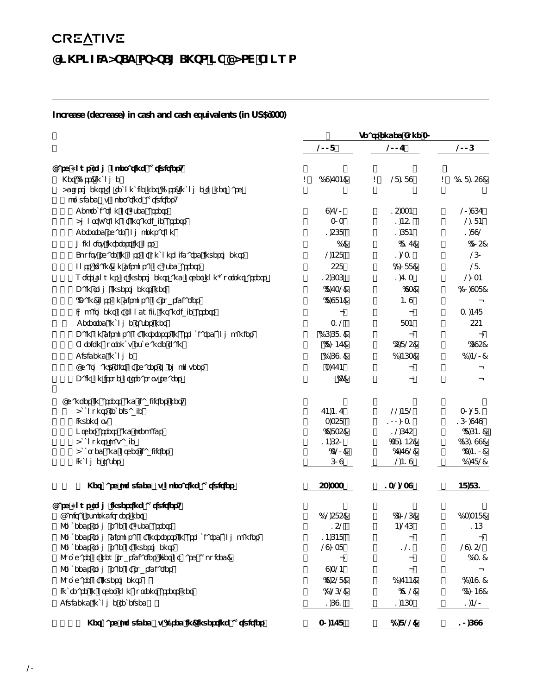# **CREATIVE CONSOLIDATED STATEMENTS OF CASH FLOWS**

# **Increase (decrease) in cash and cash equivalents (in US\$'000)**

|                                                                                             |                 | Years ended June 30 |                  |  |
|---------------------------------------------------------------------------------------------|-----------------|---------------------|------------------|--|
|                                                                                             | 2008            | 2007                | 2006             |  |
| Cash flows from operating activities:                                                       |                 |                     |                  |  |
| Net (loss) income                                                                           | \$<br>(19, 734) | \$<br>28,189        | (118, 159)<br>\$ |  |
| Adjustments to reconcile net (loss) income to net cash<br>provided by operating activities: |                 |                     |                  |  |
| Depreciation of fixed assets                                                                | 9,720           | 15,334              | 20,967           |  |
| Amortization of intangible assets                                                           | 303             | 1,451               | 2,184            |  |
| Deferred share compensation                                                                 | 1,568           | 1,684               | 1,892            |  |
| Minority interest in loss                                                                   | (1)             | (817)               | (805)            |  |
| Equity share in loss of unconsolidated investments                                          | 2,458           | 1,231               | 260              |  |
| Loss (gain) on disposal of fixed assets                                                     | 558             | (2,088)             | 281              |  |
| Write downs of investments and other non-current assets                                     | 15,636          | 1,713               | 2,034            |  |
| Gain from investments, net                                                                  | (8, 732)        | (93)                | (20, 938)        |  |
| (Gain) loss on disposal of subsidiaries                                                     | (8,984)         | 419                 |                  |  |
| Impairment of goodwill/intangible assets                                                    |                 |                     | 31,478           |  |
| Deferred income taxes, net                                                                  | 312             | 834                 | 554              |  |
| Gain on disposal of interests in associated companies                                       | (16,681)        |                     |                  |  |
| Foreign currency exchange gain                                                              | (8,047)         | (5,825)             | (695)            |  |
| Dividend income                                                                             | (1,691)         | (1,463)             | (1,420)          |  |
| Chairman's gift of shares to employees                                                      | 3,774           |                     |                  |  |
| Gain on issue of treasury shares                                                            | (5)             |                     |                  |  |
| Changes in assets and liabilities, net:                                                     |                 |                     |                  |  |
| Accounts receivable                                                                         | 74,417          | 22,482              | 30,281           |  |
| Inventory                                                                                   | 3,358           | 100,031             | 160,979          |  |
| Other assets and prepaids                                                                   | (9,835)         | 12,675              | (8,641)          |  |
| Accounts payable                                                                            | 14,650          | (38, 145)           | (46, 199)        |  |
| Accrued and other liabilities<br>Income taxes                                               | (320)<br>609    | (7, 792)<br>2,419   | (3, 410)         |  |
|                                                                                             |                 |                     | (1,782)          |  |
| Net cash provided by operating activities                                                   | 53,333          | 132,239             | 48,861           |  |
| Cash flows from investing activities:                                                       |                 |                     |                  |  |
| Capital expenditures, net                                                                   | (12,585)        | (6,026)             | (13, 348)        |  |
| Proceeds from sale of fixed assets                                                          | 152             | 4,276               | 146              |  |
| Proceeds from disposal of interests in associated companies                                 | 14,648          |                     |                  |  |
| Proceeds from sale of investments                                                           | 29,038          | 121                 | 29,152           |  |
| Purchase of new subsidiaries (net of cash acquired)                                         |                 |                     | (131)            |  |
| Proceeds from sale of subsidiaries<br>Purchase of investments                               | 9,324           |                     |                  |  |
|                                                                                             | (9,528)         | (1, 744)            | (2,491)          |  |
| Increase in other non current assets, net                                                   | (2,262)         | (912)               | (4,049)          |  |
| Dividend income received                                                                    | 1,691           | 1,463               | 1,420            |  |
| Net cash provided by (used in) investing activities                                         | 30,478          | (2,822)             | 10,699           |  |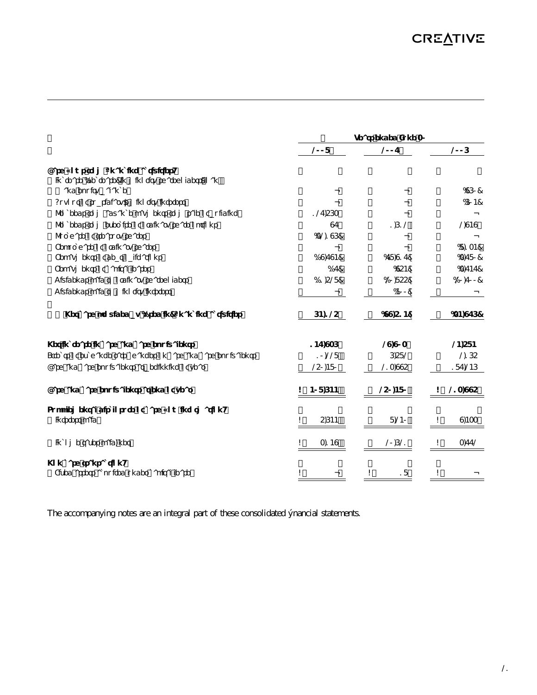|                                                               | Years ended June 30 |           |             |  |  |  |
|---------------------------------------------------------------|---------------------|-----------|-------------|--|--|--|
|                                                               | 2008                | 2007      | 2006        |  |  |  |
| Cash flows from financing activities:                         |                     |           |             |  |  |  |
| Increase (decrease) in minority shareholders loan             |                     |           |             |  |  |  |
| and equity balance                                            |                     |           | (960)       |  |  |  |
| Buyout of subsidiary's minority interest                      |                     |           | (604)       |  |  |  |
| Proceeds from advance payments from sale of building          | 127,563             |           |             |  |  |  |
| Proceeds from exercise of ordinary share options              | 97                  | 1,612     | 2,949       |  |  |  |
| Purchase of treasury shares                                   | (32, 196)           |           |             |  |  |  |
| Repurchase of ordinary shares                                 |                     |           | (8, 134)    |  |  |  |
| Repayments of debt obligations                                | (19, 794)           | (78,917)  | (3,780)     |  |  |  |
| Repayments of capital leases                                  | (17)                | (954)     | (3,747)     |  |  |  |
| Dividends paid to ordinary shareholders                       | (11,528)            | (20, 855) | (20,700)    |  |  |  |
| Dividends paid to minority interest                           |                     | (400)     |             |  |  |  |
| Net cash provided by (used in) financing activities           | 64,125              | (99, 514) | (34, 976)   |  |  |  |
| Net increase in cash and cash equivalents                     | 147,936             | 29,903    | 24,584      |  |  |  |
| Effects of exchange rate changes on cash and cash equivalents | 10,228              | 6,582     | 2,165       |  |  |  |
| Cash and cash equivalents at beginning of year                | 250,480             | 213,995   | 187,246     |  |  |  |
| Cash and cash equivalents at end of year                      | 408,644             | 250,480   | 213,995     |  |  |  |
| Supplemental disclosure of cash flow information:             |                     |           |             |  |  |  |
| Interest paid                                                 | 5,644<br>\$         | 8,240     | 9,433<br>\$ |  |  |  |
| Income taxes paid, net                                        | \$<br>3,149         | 20,621    | 3,772       |  |  |  |
| Non cash transaction:                                         |                     |           |             |  |  |  |
| Fixed assets acquired under capital lease                     | \$                  | 18<br>\$  | \$          |  |  |  |

The accompanying notes are an integral part of these consolidated financial statements.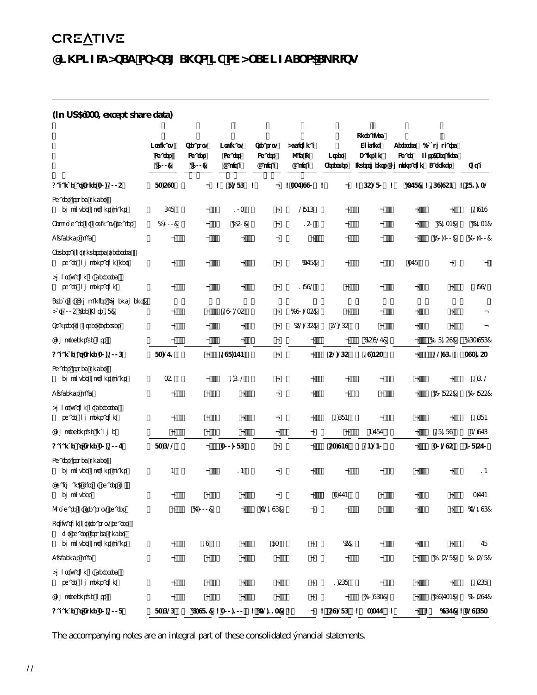# **CONSOLIDATED STATEMENTS OF SHAREHOLDERS' EQUITY**

# **(In US\$'000, except share data)**

|                                                                                     | Ordinary      | Treasury      | Ordinary      | Treasury                          | Additional     |                          | Unrealized<br>Holding | Deferred                                 | (Accumulated             |              |
|-------------------------------------------------------------------------------------|---------------|---------------|---------------|-----------------------------------|----------------|--------------------------|-----------------------|------------------------------------------|--------------------------|--------------|
|                                                                                     | <b>Shares</b> | <b>Shares</b> | <b>Shares</b> | <b>Shares</b>                     | Paid In        | Other                    | Gainson               | Share                                    | Loss) Retained           |              |
|                                                                                     | (000)         | (000)         | Capital       | Capital                           | Capital        | <b>Reserves</b>          |                       | <b>Investments Compensation Earnings</b> |                          | <b>Total</b> |
| Balance at June 30, 2005                                                            | 83,593        |               | 8,286         | \$                                | \$337,990 \$   |                          | 65,280<br>\$          | \$                                       | $(378)$ \$169,954        | \$581,132    |
| Shares issued under<br>employee options plans                                       | 678           |               | 103           |                                   | 2846           |                          |                       |                                          |                          | 2,949        |
| Repurchase of ordinary shares                                                       | (1,000)       |               | (150)         |                                   | 150            |                          |                       |                                          | (8, 134)                 | (8, 134)     |
| Dividends paid                                                                      |               |               |               |                                   |                |                          |                       |                                          | (20,700)                 | (20,700)     |
| Reversal of unvested deferred<br>share compensation, net                            |               |               |               |                                   | (378)          |                          |                       | 378                                      |                          |              |
| Amortization of deferred<br>share compensation                                      |               |               |               |                                   | 1,892          |                          |                       |                                          |                          | 1,892        |
| <b>Effect of Companies (Amendment)</b><br>Act 2005 (see Note 18)                    |               |               | 290,235       |                                   | (290, 235)     |                          |                       |                                          |                          |              |
| Transfer to other reserves                                                          |               |               |               |                                   | (52, 265)      | 52,265                   |                       |                                          |                          |              |
| Comprehensive loss                                                                  |               |               |               |                                   |                |                          | (45, 827)             |                                          | (118, 159)               | (163,986)    |
| Balance at June 30, 2006                                                            | 83,271        |               | 298,474       |                                   | $\overline{a}$ | 52,265                   | 19,453                |                                          | 22,961                   | 393,153      |
| Shares issued under<br>employee options plans                                       | 351           |               | 1,612         |                                   |                |                          |                       |                                          |                          | 1,612        |
| Dividends paid                                                                      |               |               |               |                                   |                |                          |                       |                                          | (20, 855)                | (20, 855)    |
| Amortization of deferred<br>share compensation                                      |               |               |               |                                   |                | 1,684                    |                       |                                          |                          | 1,684        |
| Comprehensive income                                                                |               |               |               |                                   |                |                          | 4,787                 |                                          | 28,189                   | 32,976       |
| Balance at June 30, 2007                                                            | 83,622        |               | 300,086       |                                   | ۰              | 53,949                   | 24,240                |                                          | 30,295                   | 408,570      |
| Shares issued under<br>employee options plans                                       | 4             |               | 14            |                                   |                |                          |                       |                                          |                          | 14           |
| Chairman's gift of shares to<br>employees                                           |               |               |               |                                   |                | 3,774                    |                       |                                          |                          | 3,774        |
| Purchase of treasury shares                                                         |               | (7,000)       |               | (32, 196)                         |                |                          |                       |                                          |                          | (32, 196)    |
| Utilization of treasury shares<br>for shares issued under<br>employee options plans |               | 19            |               | 83                                |                | (5)                      |                       |                                          |                          | 78           |
| Dividends paid                                                                      |               |               |               |                                   |                |                          |                       |                                          | (11,528)                 | (11,528)     |
| Amortization of deferred<br>share compensation                                      |               |               |               |                                   |                | 1,568                    |                       |                                          | $\overline{\phantom{a}}$ | 1,568        |
| Comprehensive loss                                                                  |               |               |               |                                   |                | $\overline{\phantom{a}}$ | (20, 863)             |                                          | (19, 734)                | (40, 597)    |
| Balance at June 30, 2008                                                            | 83,626        |               |               | $(6,981)$ \$300,100 \$ $(32,113)$ | \$             | \$59,286                 | $3,377$ \$<br>\$      |                                          | \$<br>(967)              | \$329,683    |

The accompanying notes are an integral part of these consolidated financial statements.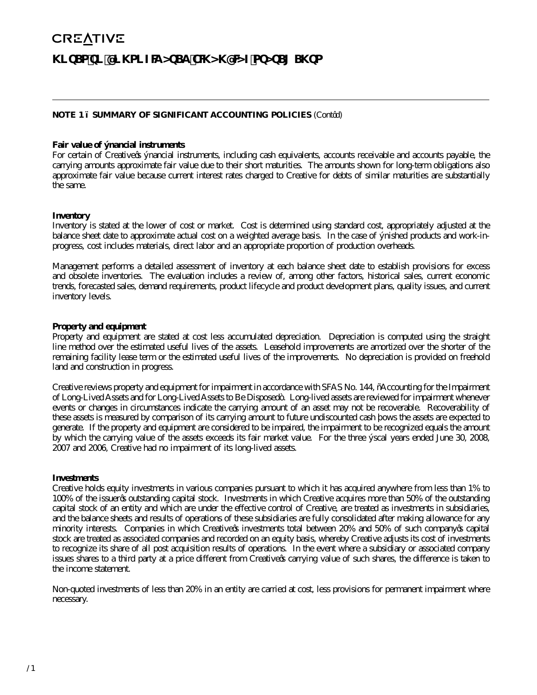# **NOTE 1 – SUMMARY OF SIGNIFICANT ACCOUNTING POLICIES** (Cont'd)

#### **Fair value of financial instruments**

For certain of Creative's financial instruments, including cash equivalents, accounts receivable and accounts payable, the carrying amounts approximate fair value due to their short maturities. The amounts shown for long-term obligations also approximate fair value because current interest rates charged to Creative for debts of similar maturities are substantially the same.

#### **Inventory**

Inventory is stated at the lower of cost or market. Cost is determined using standard cost, appropriately adjusted at the balance sheet date to approximate actual cost on a weighted average basis. In the case of finished products and work-inprogress, cost includes materials, direct labor and an appropriate proportion of production overheads.

Management performs a detailed assessment of inventory at each balance sheet date to establish provisions for excess and obsolete inventories. The evaluation includes a review of, among other factors, historical sales, current economic trends, forecasted sales, demand requirements, product lifecycle and product development plans, quality issues, and current inventory levels.

#### **Property and equipment**

Property and equipment are stated at cost less accumulated depreciation. Depreciation is computed using the straight line method over the estimated useful lives of the assets. Leasehold improvements are amortized over the shorter of the remaining facility lease term or the estimated useful lives of the improvements. No depreciation is provided on freehold land and construction in progress.

Creative reviews property and equipment for impairment in accordance with SFAS No. 144, "Accounting for the Impairment of Long-Lived Assets and for Long-Lived Assets to Be Disposed". Long-lived assets are reviewed for impairment whenever events or changes in circumstances indicate the carrying amount of an asset may not be recoverable. Recoverability of these assets is measured by comparison of its carrying amount to future undiscounted cash flows the assets are expected to generate. If the property and equipment are considered to be impaired, the impairment to be recognized equals the amount by which the carrying value of the assets exceeds its fair market value. For the three fiscal years ended June 30, 2008, 2007 and 2006, Creative had no impairment of its long-lived assets.

#### **Investments**

Creative holds equity investments in various companies pursuant to which it has acquired anywhere from less than 1% to 100% of the issuer's outstanding capital stock. Investments in which Creative acquires more than 50% of the outstanding capital stock of an entity and which are under the effective control of Creative, are treated as investments in subsidiaries, and the balance sheets and results of operations of these subsidiaries are fully consolidated after making allowance for any minority interests. Companies in which Creative's investments total between 20% and 50% of such company's capital stock are treated as associated companies and recorded on an equity basis, whereby Creative adjusts its cost of investments to recognize its share of all post acquisition results of operations. In the event where a subsidiary or associated company issues shares to a third party at a price different from Creative's carrying value of such shares, the difference is taken to the income statement.

Non-quoted investments of less than 20% in an entity are carried at cost, less provisions for permanent impairment where necessary.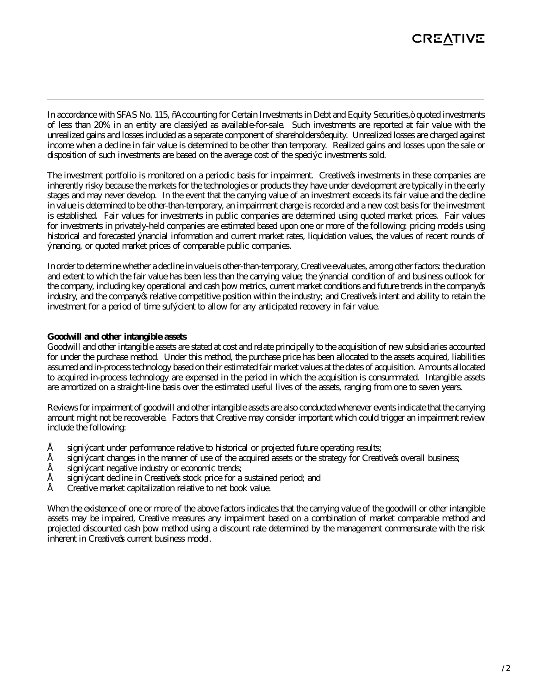In accordance with SFAS No. 115, "Accounting for Certain Investments in Debt and Equity Securities," quoted investments of less than 20% in an entity are classified as available-for-sale. Such investments are reported at fair value with the unrealized gains and losses included as a separate component of shareholders' equity. Unrealized losses are charged against income when a decline in fair value is determined to be other than temporary. Realized gains and losses upon the sale or disposition of such investments are based on the average cost of the specific investments sold.

The investment portfolio is monitored on a periodic basis for impairment. Creative's investments in these companies are inherently risky because the markets for the technologies or products they have under development are typically in the early stages and may never develop. In the event that the carrying value of an investment exceeds its fair value and the decline in value is determined to be other-than-temporary, an impairment charge is recorded and a new cost basis for the investment is established. Fair values for investments in public companies are determined using quoted market prices. Fair values for investments in privately-held companies are estimated based upon one or more of the following: pricing models using historical and forecasted financial information and current market rates, liquidation values, the values of recent rounds of financing, or quoted market prices of comparable public companies.

In order to determine whether a decline in value is other-than-temporary, Creative evaluates, among other factors: the duration and extent to which the fair value has been less than the carrying value; the financial condition of and business outlook for the company, including key operational and cash flow metrics, current market conditions and future trends in the company's industry, and the company's relative competitive position within the industry; and Creative's intent and ability to retain the investment for a period of time sufficient to allow for any anticipated recovery in fair value.

#### **Goodwill and other intangible assets**

Goodwill and other intangible assets are stated at cost and relate principally to the acquisition of new subsidiaries accounted for under the purchase method. Under this method, the purchase price has been allocated to the assets acquired, liabilities assumed and in-process technology based on their estimated fair market values at the dates of acquisition. Amounts allocated to acquired in-process technology are expensed in the period in which the acquisition is consummated. Intangible assets are amortized on a straight-line basis over the estimated useful lives of the assets, ranging from one to seven years.

Reviews for impairment of goodwill and other intangible assets are also conducted whenever events indicate that the carrying amount might not be recoverable. Factors that Creative may consider important which could trigger an impairment review include the following:

- significant under performance relative to historical or projected future operating results;
- significant changes in the manner of use of the acquired assets or the strategy for Creative's overall business;
- significant negative industry or economic trends;
- significant decline in Creative's stock price for a sustained period; and
- Creative market capitalization relative to net book value.

When the existence of one or more of the above factors indicates that the carrying value of the goodwill or other intangible assets may be impaired, Creative measures any impairment based on a combination of market comparable method and projected discounted cash flow method using a discount rate determined by the management commensurate with the risk inherent in Creative's current business model.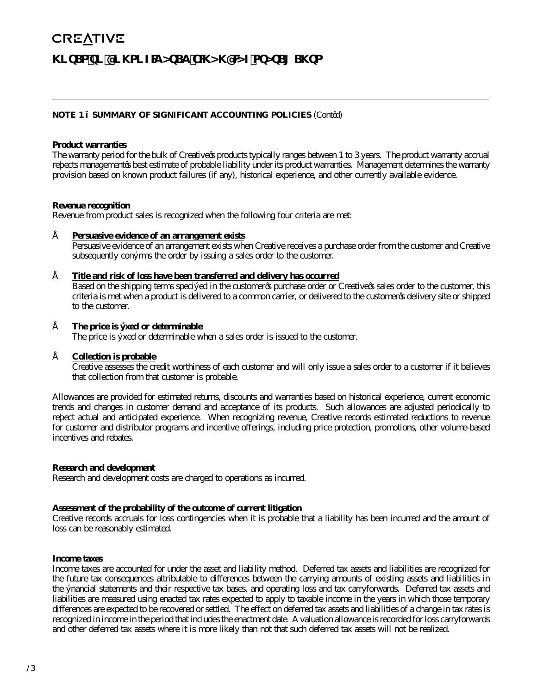## **NOTE 1 – SUMMARY OF SIGNIFICANT ACCOUNTING POLICIES** (Cont'd)

#### **Product warranties**

The warranty period for the bulk of Creative's products typically ranges between 1 to 3 years. The product warranty accrual reflects management's best estimate of probable liability under its product warranties. Management determines the warranty provision based on known product failures (if any), historical experience, and other currently available evidence.

#### **Revenue recognition**

Revenue from product sales is recognized when the following four criteria are met:

#### • **Persuasive evidence of an arrangement exists**

 Persuasive evidence of an arrangement exists when Creative receives a purchase order from the customer and Creative subsequently confirms the order by issuing a sales order to the customer.

#### • **Title and risk of loss have been transferred and delivery has occurred**

 Based on the shipping terms specified in the customer's purchase order or Creative's sales order to the customer, this criteria is met when a product is delivered to a common carrier, or delivered to the customer's delivery site or shipped to the customer.

#### • **The price is fixed or determinable**

The price is fixed or determinable when a sales order is issued to the customer.

#### • **Collection is probable**

 Creative assesses the credit worthiness of each customer and will only issue a sales order to a customer if it believes that collection from that customer is probable.

Allowances are provided for estimated returns, discounts and warranties based on historical experience, current economic trends and changes in customer demand and acceptance of its products. Such allowances are adjusted periodically to reflect actual and anticipated experience. When recognizing revenue, Creative records estimated reductions to revenue for customer and distributor programs and incentive offerings, including price protection, promotions, other volume-based incentives and rebates.

#### **Research and development**

Research and development costs are charged to operations as incurred.

#### **Assessment of the probability of the outcome of current litigation**

Creative records accruals for loss contingencies when it is probable that a liability has been incurred and the amount of loss can be reasonably estimated.

#### **Income taxes**

Income taxes are accounted for under the asset and liability method. Deferred tax assets and liabilities are recognized for the future tax consequences attributable to differences between the carrying amounts of existing assets and liabilities in the financial statements and their respective tax bases, and operating loss and tax carryforwards. Deferred tax assets and liabilities are measured using enacted tax rates expected to apply to taxable income in the years in which those temporary differences are expected to be recovered or settled. The effect on deferred tax assets and liabilities of a change in tax rates is recognized in income in the period that includes the enactment date. A valuation allowance is recorded for loss carryforwards and other deferred tax assets where it is more likely than not that such deferred tax assets will not be realized.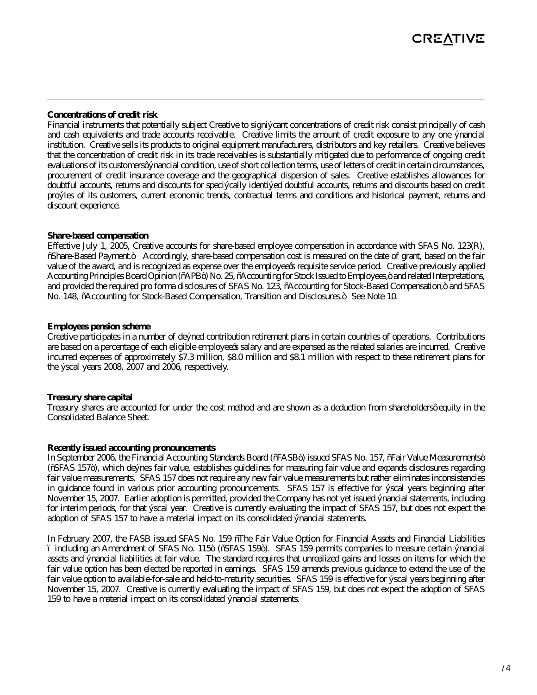#### **Concentrations of credit risk**

Financial instruments that potentially subject Creative to significant concentrations of credit risk consist principally of cash and cash equivalents and trade accounts receivable. Creative limits the amount of credit exposure to any one financial institution. Creative sells its products to original equipment manufacturers, distributors and key retailers. Creative believes that the concentration of credit risk in its trade receivables is substantially mitigated due to performance of ongoing credit evaluations of its customers' financial condition, use of short collection terms, use of letters of credit in certain circumstances, procurement of credit insurance coverage and the geographical dispersion of sales. Creative establishes allowances for doubtful accounts, returns and discounts for specifically identified doubtful accounts, returns and discounts based on credit profiles of its customers, current economic trends, contractual terms and conditions and historical payment, returns and discount experience.

#### **Share-based compensation**

Effective July 1, 2005, Creative accounts for share-based employee compensation in accordance with SFAS No. 123(R), "Share-Based Payment." Accordingly, share-based compensation cost is measured on the date of grant, based on the fair value of the award, and is recognized as expense over the employee's requisite service period. Creative previously applied Accounting Principles Board Opinion ("APB") No. 25, "Accounting for Stock Issued to Employees," and related Interpretations, and provided the required pro forma disclosures of SFAS No. 123, "Accounting for Stock-Based Compensation," and SFAS No. 148, "Accounting for Stock-Based Compensation, Transition and Disclosures." See Note 10.

#### **Employees pension scheme**

Creative participates in a number of defined contribution retirement plans in certain countries of operations. Contributions are based on a percentage of each eligible employee's salary and are expensed as the related salaries are incurred. Creative incurred expenses of approximately \$7.3 million, \$8.0 million and \$8.1 million with respect to these retirement plans for the fiscal years 2008, 2007 and 2006, respectively.

## **Treasury share capital**

Treasury shares are accounted for under the cost method and are shown as a deduction from shareholders' equity in the Consolidated Balance Sheet.

#### **Recently issued accounting pronouncements**

In September 2006, the Financial Accounting Standards Board ("FASB") issued SFAS No. 157, "Fair Value Measurements" ("SFAS 157"), which defines fair value, establishes guidelines for measuring fair value and expands disclosures regarding fair value measurements. SFAS 157 does not require any new fair value measurements but rather eliminates inconsistencies in guidance found in various prior accounting pronouncements. SFAS 157 is effective for fiscal years beginning after November 15, 2007. Earlier adoption is permitted, provided the Company has not yet issued financial statements, including for interim periods, for that fiscal year. Creative is currently evaluating the impact of SFAS 157, but does not expect the adoption of SFAS 157 to have a material impact on its consolidated financial statements.

In February 2007, the FASB issued SFAS No. 159 "The Fair Value Option for Financial Assets and Financial Liabilities – including an Amendment of SFAS No. 115" ("SFAS 159"). SFAS 159 permits companies to measure certain financial assets and financial liabilities at fair value. The standard requires that unrealized gains and losses on items for which the fair value option has been elected be reported in earnings. SFAS 159 amends previous guidance to extend the use of the fair value option to available-for-sale and held-to-maturity securities. SFAS 159 is effective for fiscal years beginning after November 15, 2007. Creative is currently evaluating the impact of SFAS 159, but does not expect the adoption of SFAS 159 to have a material impact on its consolidated financial statements.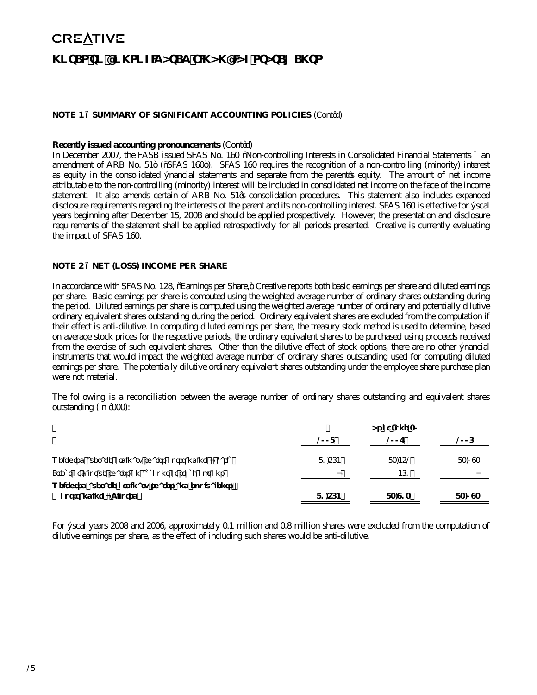## **NOTE 1 – SUMMARY OF SIGNIFICANT ACCOUNTING POLICIES** (Cont'd)

#### **Recently issued accounting pronouncements** (Cont'd)

In December 2007, the FASB issued SFAS No. 160 "Non-controlling Interests in Consolidated Financial Statements – an amendment of ARB No. 51" ("SFAS 160"). SFAS 160 requires the recognition of a non-controlling (minority) interest as equity in the consolidated financial statements and separate from the parent's equity. The amount of net income attributable to the non-controlling (minority) interest will be included in consolidated net income on the face of the income statement. It also amends certain of ARB No. 51's consolidation procedures. This statement also includes expanded disclosure requirements regarding the interests of the parent and its non-controlling interest. SFAS 160 is effective for fiscal years beginning after December 15, 2008 and should be applied prospectively. However, the presentation and disclosure requirements of the statement shall be applied retrospectively for all periods presented. Creative is currently evaluating the impact of SFAS 160.

#### **NOTE 2 – NET (LOSS) INCOME PER SHARE**

In accordance with SFAS No. 128, "Earnings per Share," Creative reports both basic earnings per share and diluted earnings per share. Basic earnings per share is computed using the weighted average number of ordinary shares outstanding during the period. Diluted earnings per share is computed using the weighted average number of ordinary and potentially dilutive ordinary equivalent shares outstanding during the period. Ordinary equivalent shares are excluded from the computation if their effect is anti-dilutive. In computing diluted earnings per share, the treasury stock method is used to determine, based on average stock prices for the respective periods, the ordinary equivalent shares to be purchased using proceeds received from the exercise of such equivalent shares. Other than the dilutive effect of stock options, there are no other financial instruments that would impact the weighted average number of ordinary shares outstanding used for computing diluted earnings per share. The potentially dilutive ordinary equivalent shares outstanding under the employee share purchase plan were not material.

The following is a reconciliation between the average number of ordinary shares outstanding and equivalent shares outstanding (in '000):

|                                                       |        | As of June 30 |        |
|-------------------------------------------------------|--------|---------------|--------|
|                                                       | 2008   | 2007          | 2006   |
| Weighted average ordinary shares outstanding - Basic  | 81.564 | 83.452        | 83,093 |
| Effect of dilutive shares on account of stock options |        | 461           |        |
| Weighted average ordinary shares and equivalents      |        |               |        |
| outstanding - Diluted                                 | 81.564 | 83.913        | 83,093 |

For fiscal years 2008 and 2006, approximately 0.1 million and 0.8 million shares were excluded from the computation of dilutive earnings per share, as the effect of including such shares would be anti-dilutive.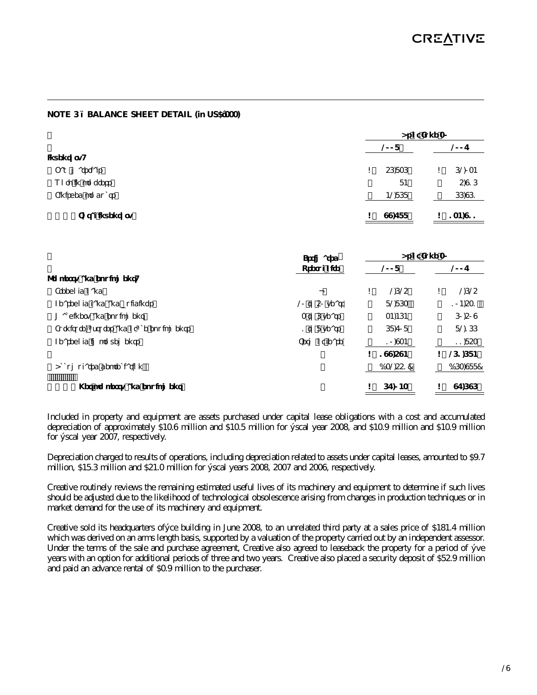## **NOTE 3 – BALANCE SHEET DETAIL (in US\$'000)**

|                        |              | As of June 30 |  |  |  |  |  |
|------------------------|--------------|---------------|--|--|--|--|--|
|                        | 2008         | 2007          |  |  |  |  |  |
| Inventory:             |              |               |  |  |  |  |  |
| Raw materials          | 56,836<br>\$ | 62,034        |  |  |  |  |  |
| Work in progress       | 84           | 5,916         |  |  |  |  |  |
| Finished products      | 42,868       | 66,961        |  |  |  |  |  |
| <b>Total inventory</b> | 99,788<br>\$ | 134,911<br>\$ |  |  |  |  |  |

| Estimated                                 |                | As of June 30 |           |    |           |  |
|-------------------------------------------|----------------|---------------|-----------|----|-----------|--|
|                                           | Useful Life    | 2008          |           |    | 2007      |  |
| Property and equipment:                   |                |               |           |    |           |  |
| Freehold Land                             |                | \$            | 2625      | \$ | 2625      |  |
| Leasehold land and buildings              | 20 to 50 years |               | 82,863    |    | 104.531   |  |
| Machinery and equipment                   | 3 to 6 years   |               | 34,464    |    | 60,509    |  |
| Furniture, fixtures and office equipments | 1 to 8 years   |               | 68.708    |    | 82.166    |  |
| Leasehold improvements                    | Term of lease  |               | 10,934    |    | 11,853    |  |
|                                           |                | \$            | 199,594   | \$ | 261.684   |  |
| Accumulated depreciation                  |                |               | (132,551) |    | (163,988) |  |
| Net property and equipment                |                | \$            | 67,043    |    | 97,696    |  |

Included in property and equipment are assets purchased under capital lease obligations with a cost and accumulated depreciation of approximately \$10.6 million and \$10.5 million for fiscal year 2008, and \$10.9 million and \$10.9 million for fiscal year 2007, respectively.

Depreciation charged to results of operations, including depreciation related to assets under capital leases, amounted to \$9.7 million, \$15.3 million and \$21.0 million for fiscal years 2008, 2007 and 2006, respectively.

Creative routinely reviews the remaining estimated useful lives of its machinery and equipment to determine if such lives should be adjusted due to the likelihood of technological obsolescence arising from changes in production techniques or in market demand for the use of its machinery and equipment.

Creative sold its headquarters office building in June 2008, to an unrelated third party at a sales price of \$181.4 million which was derived on an arms length basis, supported by a valuation of the property carried out by an independent assessor. Under the terms of the sale and purchase agreement, Creative also agreed to leaseback the property for a period of five years with an option for additional periods of three and two years. Creative also placed a security deposit of \$52.9 million and paid an advance rental of \$0.9 million to the purchaser.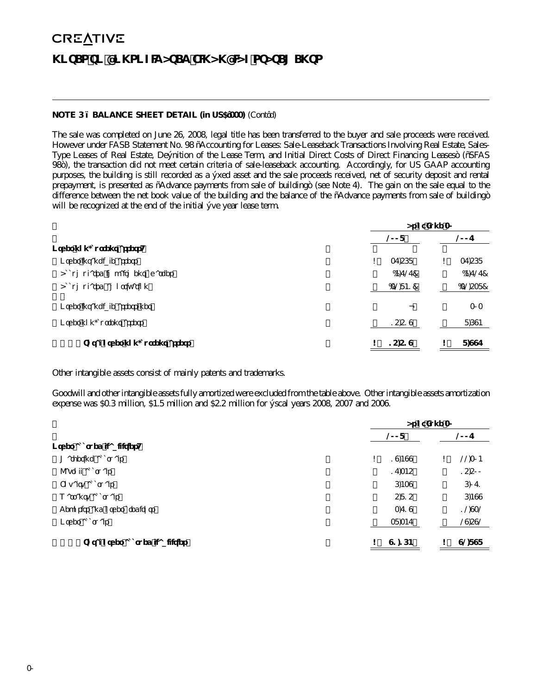### **NOTE 3 – BALANCE SHEET DETAIL (in US\$'000)** (Cont'd)

The sale was completed on June 26, 2008, legal title has been transferred to the buyer and sale proceeds were received. However under FASB Statement No. 98 "Accounting for Leases: Sale-Leaseback Transactions Involving Real Estate, Sales-Type Leases of Real Estate, Definition of the Lease Term, and Initial Direct Costs of Direct Financing Leases" ("SFAS 98"), the transaction did not meet certain criteria of sale-leaseback accounting. Accordingly, for US GAAP accounting purposes, the building is still recorded as a fixed asset and the sale proceeds received, net of security deposit and rental prepayment, is presented as "Advance payments from sale of building" (see Note 4). The gain on the sale equal to the difference between the net book value of the building and the balance of the "Advance payments from sale of building" will be recognized at the end of the initial five year lease term.

|                                |    | As of June 30 |  |    |          |
|--------------------------------|----|---------------|--|----|----------|
|                                |    | 2007          |  |    |          |
| Other non-current assets       |    |               |  |    |          |
| Other intangible assets        | \$ | 37.568        |  | \$ | 37.568   |
| Accumulated impairment charges |    | (4, 727)      |  |    | (4,727)  |
| Accumulated amortization       |    | (32, 841)     |  |    | (32,538) |
| Other intangible assets, net   |    |               |  |    | 303      |
| Other non-current assets       |    | 15,519        |  |    | 8,694    |
| Total other non-current assets | \$ | 15,519        |  | S  | 8,997    |

Other intangible assets consist of mainly patents and trademarks.

Goodwill and other intangible assets fully amortized were excluded from the table above. Other intangible assets amortization expense was \$0.3 million, \$1.5 million and \$2.2 million for fiscal years 2008, 2007 and 2006.

|                                 | As of June 30 |    |        |  |
|---------------------------------|---------------|----|--------|--|
|                                 | 2008          |    | 2007   |  |
| Other accrued liabilities       |               |    |        |  |
| Marketing accruals              | \$<br>19.499  | \$ | 22,304 |  |
| Payroll accruals                | 17,345        |    | 15,500 |  |
| Royalty accruals                | 6,439         |    | 6,071  |  |
| Warranty accruals               | 5,815         |    | 6,499  |  |
| Deposits and other creditors    | 3,719         |    | 12,932 |  |
| Other accruals                  | 38,347        |    | 29,592 |  |
| Total other accrued liabilities | \$<br>91,164  | S  | 92,898 |  |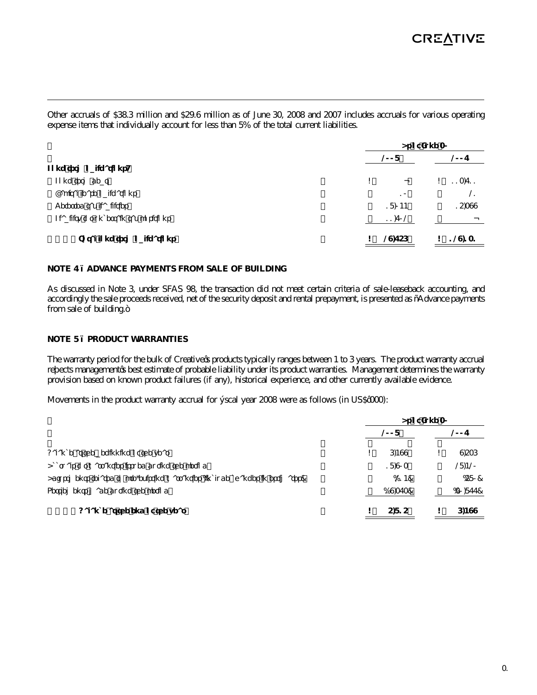Other accruals of \$38.3 million and \$29.6 million as of June 30, 2008 and 2007 includes accruals for various operating expense items that individually account for less than 5% of the total current liabilities. **As of June 30**

|                                |                | 2007          |  |  |  |  |
|--------------------------------|----------------|---------------|--|--|--|--|
|                                |                |               |  |  |  |  |
| \$<br>$\overline{\phantom{0}}$ | \$             | 113,711       |  |  |  |  |
| 10                             |                | 21            |  |  |  |  |
| 18,044                         |                | 15,399        |  |  |  |  |
| 11,702                         |                |               |  |  |  |  |
|                                | S              | 129,131       |  |  |  |  |
|                                | 2008<br>29,756 | ASUI JUING JU |  |  |  |  |

#### **NOTE 4 – ADVANCE PAYMENTS FROM SALE OF BUILDING**

As discussed in Note 3, under SFAS 98, the transaction did not meet certain criteria of sale-leaseback accounting, and accordingly the sale proceeds received, net of the security deposit and rental prepayment, is presented as "Advance payments from sale of building."

#### **NOTE 5 – PRODUCT WARRANTIES**

The warranty period for the bulk of Creative's products typically ranges between 1 to 3 years. The product warranty accrual reflects management's best estimate of probable liability under its product warranties. Management determines the warranty provision based on known product failures (if any), historical experience, and other currently available evidence.

Movements in the product warranty accrual for fiscal year 2008 were as follows (in US\$'000):

|                                                                               | As of June 30 |           |  |           |
|-------------------------------------------------------------------------------|---------------|-----------|--|-----------|
|                                                                               | 2008          |           |  | 2007      |
| Balance at the beginning of the year                                          |               | 6.499     |  | 9.536     |
| Accruals for warranties issued during the period                              |               | 18.903    |  | 28,420    |
| Adjustments related to pre-existing warranties (include changes in estimates) |               | (214)     |  | (580)     |
| Settlements made during the period                                            |               | (19, 373) |  | (30, 877) |
| Balance at the end of the year                                                |               | 5.815     |  | 6.499     |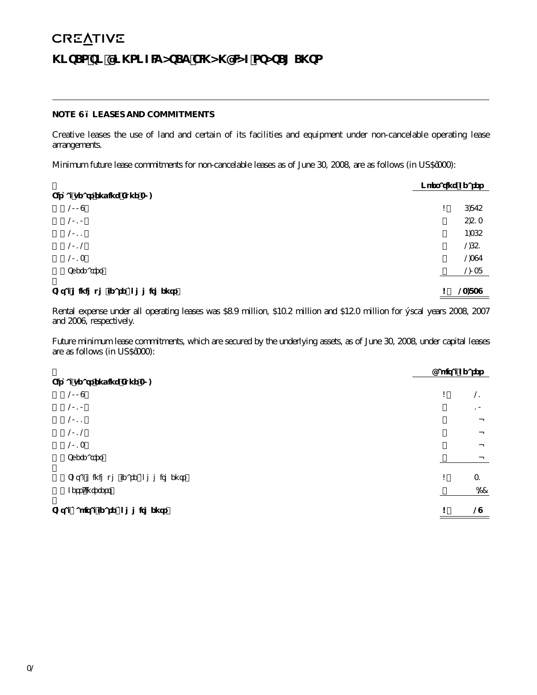## **NOTE 6 – LEASES AND COMMITMENTS**

Creative leases the use of land and certain of its facilities and equipment under non-cancelable operating lease arrangements.

Minimum future lease commitments for non-cancelable leases as of June 30, 2008, are as follows (in US\$'000):

|                                 | <b>Operating Leases</b> |        |
|---------------------------------|-------------------------|--------|
| Fiscal years ending June 30,    |                         |        |
| 2009                            | \$                      | 6,875  |
| 2010                            |                         | 5,513  |
| 2011                            |                         | 4,365  |
| 2012                            |                         | 2,651  |
| 2013                            |                         | 2,397  |
| Thereafter                      |                         | 2,038  |
| Total minimum lease commitments | \$                      | 23,839 |

Rental expense under all operating leases was \$8.9 million, \$10.2 million and \$12.0 million for fiscal years 2008, 2007 and 2006, respectively.

Future minimum lease commitments, which are secured by the underlying assets, as of June 30, 2008, under capital leases are as follows (in US\$'000):

|                                 | Capital Leases |
|---------------------------------|----------------|
| Fiscal years ending June 30,    |                |
| 2009                            | \$<br>21       |
| 2010                            | 10             |
| 2011                            |                |
| 2012                            |                |
| 2013                            |                |
| Thereafter                      |                |
| Total minimum lease commitments | \$<br>31       |
| Less: Interest                  | (2)            |
| Total capital lease commitments | \$<br>29       |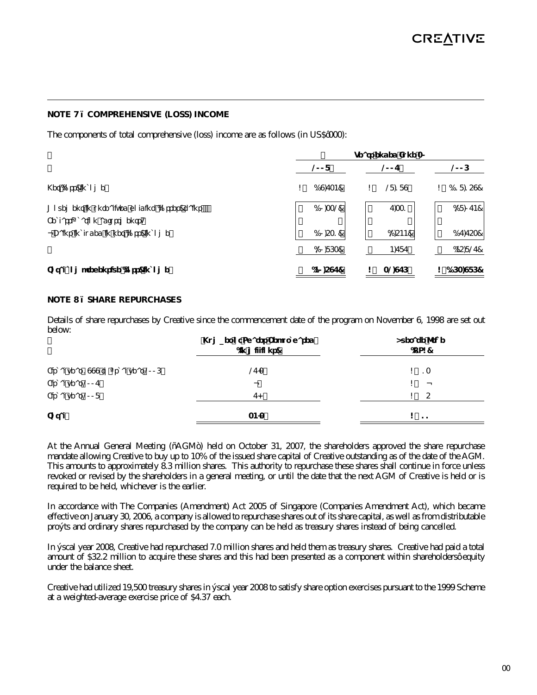#### **NOTE 7 – COMPREHENSIVE (LOSS) INCOME**

The components of total comprehensive (loss) income are as follows (in US\$'000):

|                                                                                | Years ended June 30 |           |      |         |  |                  |
|--------------------------------------------------------------------------------|---------------------|-----------|------|---------|--|------------------|
|                                                                                | 2008                |           | 2007 |         |  | 2006             |
| Net (loss) income                                                              | \$                  | (19, 734) |      | 28,189  |  | (118, 159)<br>\$ |
| Movement in unrealized holding (losses) gains<br>Reclassification adjustments: |                     | (10, 332) |      | 7,331   |  | (28,074)         |
| - Gains included in net (loss) income                                          |                     | (10,531)  |      | (2,544) |  | (17, 753)        |
|                                                                                |                     | (20, 863) |      | 4,787   |  | (45, 827)        |
| Total comprehensive (loss) income                                              |                     | (40, 597) |      | 32,976  |  | (163,986)<br>\$  |

### **NOTE 8 – SHARE REPURCHASES**

Details of share repurchases by Creative since the commencement date of the program on November 6, 1998 are set out below:

|                                      | Number of Shares Repurchased<br>(in millions) | Average Price<br>(US\$) |
|--------------------------------------|-----------------------------------------------|-------------------------|
| Fiscal year 1999 to fiscal year 2006 | 27.3                                          | \$13                    |
| Fiscal year 2007                     | -                                             | \$<br>$\qquad \qquad$   |
| Fiscal year 2008                     | 7.0                                           | 5<br>\$.                |
| Total                                | 34.3                                          | \$<br>-11               |

At the Annual General Meeting ("AGM") held on October 31, 2007, the shareholders approved the share repurchase mandate allowing Creative to buy up to 10% of the issued share capital of Creative outstanding as of the date of the AGM. This amounts to approximately 8.3 million shares. This authority to repurchase these shares shall continue in force unless revoked or revised by the shareholders in a general meeting, or until the date that the next AGM of Creative is held or is required to be held, whichever is the earlier.

In accordance with The Companies (Amendment) Act 2005 of Singapore (Companies Amendment Act), which became effective on January 30, 2006, a company is allowed to repurchase shares out of its share capital, as well as from distributable profits and ordinary shares repurchased by the company can be held as treasury shares instead of being cancelled.

In fiscal year 2008, Creative had repurchased 7.0 million shares and held them as treasury shares. Creative had paid a total amount of \$32.2 million to acquire these shares and this had been presented as a component within shareholders' equity under the balance sheet.

Creative had utilized 19,500 treasury shares in fiscal year 2008 to satisfy share option exercises pursuant to the 1999 Scheme at a weighted-average exercise price of \$4.37 each.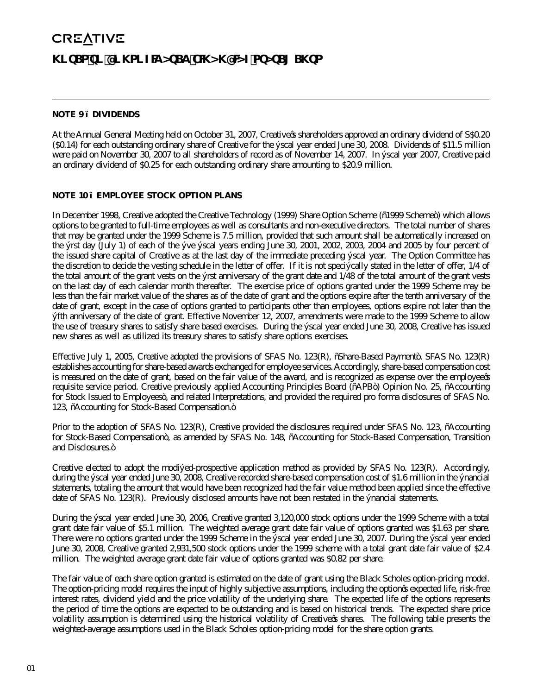#### **NOTE 9 – DIVIDENDS**

At the Annual General Meeting held on October 31, 2007, Creative's shareholders approved an ordinary dividend of S\$0.20 (\$0.14) for each outstanding ordinary share of Creative for the fiscal year ended June 30, 2008. Dividends of \$11.5 million were paid on November 30, 2007 to all shareholders of record as of November 14, 2007. In fiscal year 2007, Creative paid an ordinary dividend of \$0.25 for each outstanding ordinary share amounting to \$20.9 million.

#### **NOTE 10 – EMPLOYEE STOCK OPTION PLANS**

In December 1998, Creative adopted the Creative Technology (1999) Share Option Scheme ("1999 Scheme") which allows options to be granted to full-time employees as well as consultants and non-executive directors. The total number of shares that may be granted under the 1999 Scheme is 7.5 million, provided that such amount shall be automatically increased on the first day (July 1) of each of the five fiscal years ending June 30, 2001, 2002, 2003, 2004 and 2005 by four percent of the issued share capital of Creative as at the last day of the immediate preceding fiscal year. The Option Committee has the discretion to decide the vesting schedule in the letter of offer. If it is not specifically stated in the letter of offer, 1/4 of the total amount of the grant vests on the first anniversary of the grant date and 1/48 of the total amount of the grant vests on the last day of each calendar month thereafter. The exercise price of options granted under the 1999 Scheme may be less than the fair market value of the shares as of the date of grant and the options expire after the tenth anniversary of the date of grant, except in the case of options granted to participants other than employees, options expire not later than the fifth anniversary of the date of grant. Effective November 12, 2007, amendments were made to the 1999 Scheme to allow the use of treasury shares to satisfy share based exercises. During the fiscal year ended June 30, 2008, Creative has issued new shares as well as utilized its treasury shares to satisfy share options exercises.

Effective July 1, 2005, Creative adopted the provisions of SFAS No. 123(R), "Share-Based Payment". SFAS No. 123(R) establishes accounting for share-based awards exchanged for employee services. Accordingly, share-based compensation cost is measured on the date of grant, based on the fair value of the award, and is recognized as expense over the employee's requisite service period. Creative previously applied Accounting Principles Board ("APB") Opinion No. 25, "Accounting for Stock Issued to Employees", and related Interpretations, and provided the required pro forma disclosures of SFAS No. 123, "Accounting for Stock-Based Compensation."

Prior to the adoption of SFAS No. 123(R), Creative provided the disclosures required under SFAS No. 123, "Accounting for Stock-Based Compensation", as amended by SFAS No. 148, "Accounting for Stock-Based Compensation, Transition and Disclosures."

Creative elected to adopt the modified-prospective application method as provided by SFAS No. 123(R). Accordingly, during the fiscal year ended June 30, 2008, Creative recorded share-based compensation cost of \$1.6 million in the financial statements, totaling the amount that would have been recognized had the fair value method been applied since the effective date of SFAS No. 123(R). Previously disclosed amounts have not been restated in the financial statements.

During the fiscal year ended June 30, 2006, Creative granted 3,120,000 stock options under the 1999 Scheme with a total grant date fair value of \$5.1 million. The weighted average grant date fair value of options granted was \$1.63 per share. There were no options granted under the 1999 Scheme in the fiscal year ended June 30, 2007. During the fiscal year ended June 30, 2008, Creative granted 2,931,500 stock options under the 1999 scheme with a total grant date fair value of \$2.4 million. The weighted average grant date fair value of options granted was \$0.82 per share.

The fair value of each share option granted is estimated on the date of grant using the Black Scholes option-pricing model. The option-pricing model requires the input of highly subjective assumptions, including the option's expected life, risk-free interest rates, dividend yield and the price volatility of the underlying share. The expected life of the options represents the period of time the options are expected to be outstanding and is based on historical trends. The expected share price volatility assumption is determined using the historical volatility of Creative's shares. The following table presents the weighted-average assumptions used in the Black Scholes option-pricing model for the share option grants.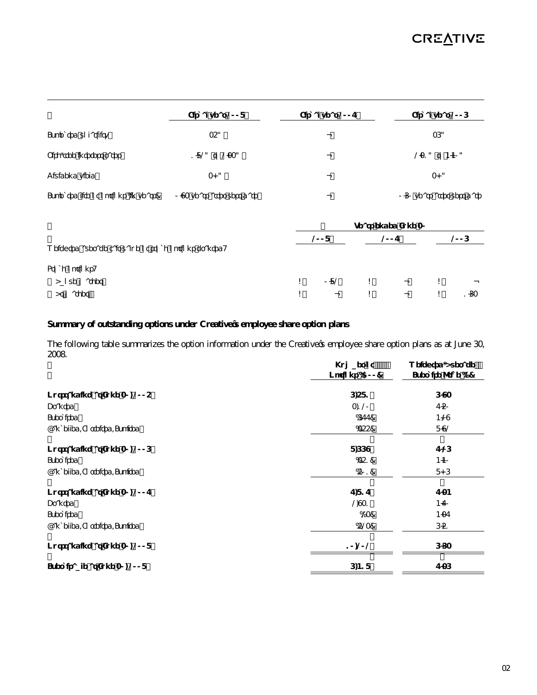|                                     | Fiscal year 2008           | Fiscal year 2007 | Fiscal year 2006           |
|-------------------------------------|----------------------------|------------------|----------------------------|
| Expected volatility                 | 35%                        |                  | 36%                        |
| Risk-free interest rates            | 1.82% to 2.33%             |                  | 2.31% to 4.40%             |
| Dividend yield                      | 3.0%                       |                  | 3.0%                       |
| Expected life of options (in years) | 0.93 years after vest date |                  | 0.60 years after vest date |

|                                                       | Years ended June 30 |                   |  |                          |    |      |  |  |
|-------------------------------------------------------|---------------------|-------------------|--|--------------------------|----|------|--|--|
|                                                       |                     | 2008              |  | 2007                     |    | 2006 |  |  |
| Weighted average fair value of stock options granted: |                     |                   |  |                          |    |      |  |  |
| Stock options:                                        |                     |                   |  |                          |    |      |  |  |
| Above market                                          | \$                  | 0.82              |  | -                        | \$ | -    |  |  |
| At market                                             | \$                  | $\qquad \qquad -$ |  | $\overline{\phantom{m}}$ |    | 1.63 |  |  |

## **Summary of outstanding options under Creative's employee share option plans**

The following table summarizes the option information under the Creative's employee share option plans as at June 30, 2008. **Number of Weighted-Average** 

|                              | Number of<br>Options ('OOO) | Weighted-Average<br>Exercise Price (\$) |
|------------------------------|-----------------------------|-----------------------------------------|
| Outstanding at June 30, 2005 | 6,581                       | 6.93                                    |
| Granted                      | 3,120                       | 7.50                                    |
| Exercised                    | (677)                       | 4.29                                    |
| Cancelled/Forfeited/Expired  | (355)                       | 8.92                                    |
| Outstanding at June 30, 2006 | 8,669                       | 7.26                                    |
| Exercised                    | (351)                       | 4.40                                    |
| Cancelled/Forfeited/Expired  | (501)                       | 8.06                                    |
| Outstanding at June 30, 2007 | 7,817                       | 7.34                                    |
| Granted                      | 2,931                       | 4.70                                    |
| Exercised                    | (23)                        | 4.37                                    |
| Cancelled/Forfeited/Expired  | (523)                       | 6.51                                    |
| Outstanding at June 30, 2008 | 10,202                      | 663                                     |
| Exercisable at June 30, 2008 | 6,418                       | 7.36                                    |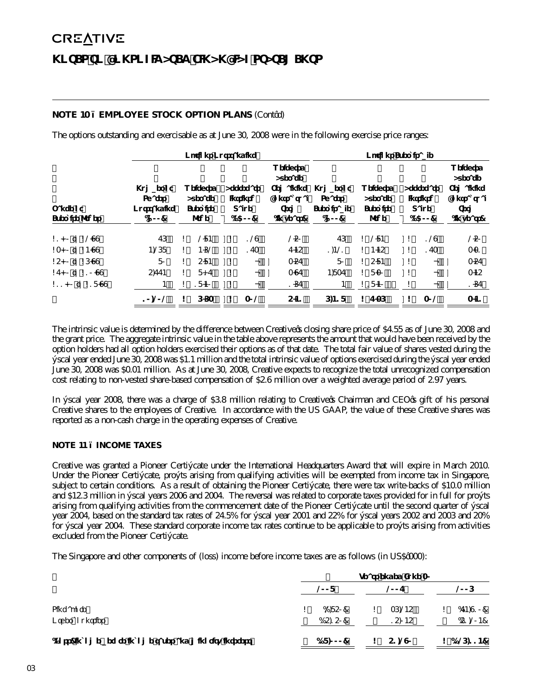## **NOTE 10 – EMPLOYEE STOCK OPTION PLANS** (Cont'd)

The options outstanding and exercisable as at June 30, 2008 were in the following exercise price ranges:

|                                    | Options Outstanding                                 |    |                                          |    |                                                   | Options Exercisable                                                   |                                                     |                                          |    |                                                   |                                                                       |
|------------------------------------|-----------------------------------------------------|----|------------------------------------------|----|---------------------------------------------------|-----------------------------------------------------------------------|-----------------------------------------------------|------------------------------------------|----|---------------------------------------------------|-----------------------------------------------------------------------|
| Range of<br><b>Exercise Prices</b> | Number of<br><b>Shares</b><br>Outstanding<br>('000) |    | Weighted<br>Average<br>Exercise<br>Price |    | Aggregate<br><b>Intrinsic</b><br>Value<br>(\$000) | Weighted<br>Average<br>Remaining<br>Contractual<br>Term<br>(in years) | Number of<br><b>Shares</b><br>Exercisable<br>('000) | Weighted<br>Average<br>Exercise<br>Price |    | Aggregate<br><b>Intrinsic</b><br>Value<br>(\$000) | Weighted<br>Average<br>Remaining<br>Contractual<br>Term<br>(in years) |
| \$1.00 to \$2.99                   | 76                                                  | \$ | 284                                      | \$ | 129                                               | 250                                                                   | 76                                                  | 284<br>\$                                | \$ | 129                                               | 250                                                                   |
| \$3.00 to \$4.99                   | 4,268                                               | \$ | 4.62                                     | \$ | 173                                               | 7.45                                                                  | 1.421                                               | 4.45<br>\$                               | \$ | 173                                               | 3.31                                                                  |
| \$5.00 to \$6.99                   | 80                                                  | \$ | 5.84                                     | \$ |                                                   | 3.57                                                                  | 80                                                  | 5.84<br>\$                               | \$ | $\overline{\phantom{0}}$                          | 3.57                                                                  |
| \$7.00 to \$10.99                  | 5.774                                               | \$ | 8.17                                     | \$ |                                                   | 3.97                                                                  | 4.837                                               | \$8.30                                   | \$ | $\overline{\phantom{0}}$                          | 3.45                                                                  |
| \$11.00 to \$18.99                 | 4                                                   | \$ | 18.40                                    | \$ |                                                   | 1.67                                                                  | 4                                                   | \$18.40                                  | \$ | -                                                 | 1.67                                                                  |
|                                    | 10.202                                              | \$ | 663                                      | \$ | 302                                               | 5.41                                                                  | 6.418                                               | \$7.36                                   | \$ | 302                                               | 3.41                                                                  |

The intrinsic value is determined by the difference between Creative's closing share price of \$4.55 as of June 30, 2008 and the grant price. The aggregate intrinsic value in the table above represents the amount that would have been received by the option holders had all option holders exercised their options as of that date. The total fair value of shares vested during the fiscal year ended June 30, 2008 was \$1.1 million and the total intrinsic value of options exercised during the fiscal year ended June 30, 2008 was \$0.01 million. As at June 30, 2008, Creative expects to recognize the total unrecognized compensation cost relating to non-vested share-based compensation of \$2.6 million over a weighted average period of 2.97 years.

In fiscal year 2008, there was a charge of \$3.8 million relating to Creative's Chairman and CEO's gift of his personal Creative shares to the employees of Creative. In accordance with the US GAAP, the value of these Creative shares was reported as a non-cash charge in the operating expenses of Creative.

## **NOTE 11 – INCOME TAXES**

Creative was granted a Pioneer Certificate under the International Headquarters Award that will expire in March 2010. Under the Pioneer Certificate, profits arising from qualifying activities will be exempted from income tax in Singapore, subject to certain conditions. As a result of obtaining the Pioneer Certificate, there were tax write-backs of \$10.0 million and \$12.3 million in fiscal years 2006 and 2004. The reversal was related to corporate taxes provided for in full for profits arising from qualifying activities from the commencement date of the Pioneer Certificate until the second quarter of fiscal year 2004, based on the standard tax rates of 24.5% for fiscal year 2001 and 22% for fiscal years 2002 and 2003 and 20% for fiscal year 2004. These standard corporate income tax rates continue to be applicable to profits arising from activities excluded from the Pioneer Certificate.

The Singapore and other components of (loss) income before income taxes are as follows (in US\$'000):

|                                                         |   | Years ended June 30 |  |        |  |              |  |
|---------------------------------------------------------|---|---------------------|--|--------|--|--------------|--|
|                                                         |   | 2008                |  | 2007   |  | 2006         |  |
| Singapore                                               | S | (2,850)             |  | 36.245 |  | (74,910)     |  |
| Other countries                                         |   | (15, 150)           |  | 15.045 |  | (51, 204)    |  |
| (Loss) income before income taxes and minority interest |   | (18,000)            |  | 51,290 |  | \$(126, 114) |  |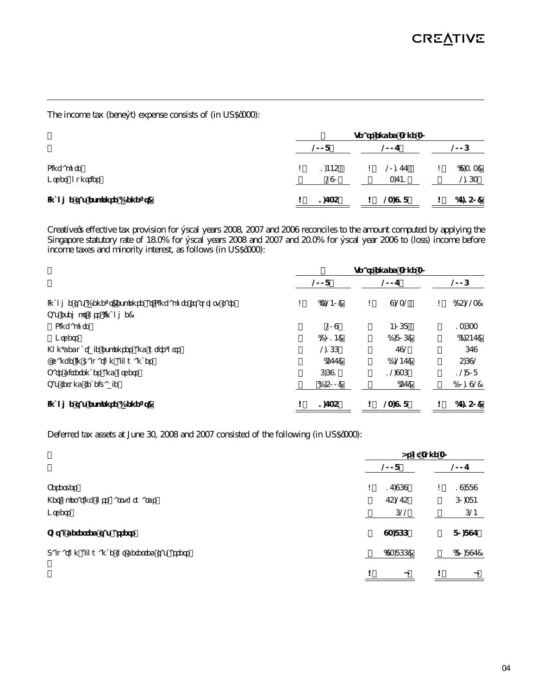The income tax (benefit) expense consists of (in US\$'000):

|                              | Years ended June 30 |    |        |  |          |  |  |  |  |
|------------------------------|---------------------|----|--------|--|----------|--|--|--|--|
|                              | 2008                |    | 2007   |  | 2006     |  |  |  |  |
| Singapore                    | 1.445               | \$ | 20,177 |  | (9,313)  |  |  |  |  |
| Other countries              | 290                 |    | 3,741  |  | 2,163    |  |  |  |  |
| Income tax expense (benefit) | 1,735               |    | 23,918 |  | (7, 150) |  |  |  |  |

Creative's effective tax provision for fiscal years 2008, 2007 and 2006 reconciles to the amount computed by applying the Singapore statutory rate of 18.0% for fiscal years 2008 and 2007 and 20.0% for fiscal year 2006 to (loss) income before income taxes and minority interest, as follows (in US\$'000):

|                                                          | Years ended June 30 |         |    |         |    |           |
|----------------------------------------------------------|---------------------|---------|----|---------|----|-----------|
|                                                          |                     | 2008    |    | 2007    |    | 2006      |
| Income tax (benefit) expense at Singapore statutory rate | \$                  | (3,240) | \$ | 9,232   | \$ | (25, 223) |
| Tax exempt loss (income)                                 |                     |         |    |         |    |           |
| Singapore                                                |                     | 209     |    | 4.068   |    | 13,633    |
| Others                                                   |                     | (2,014) |    | (1,806) |    | (4,547)   |
| Non-deductible expenses and write-offs                   |                     | 2166    |    | 792     |    | 679       |
| Change in valuation allowances                           |                     | (577)   |    | (1,247) |    | 5,692     |
| Rate differences and others                              |                     | 6.691   |    | 12.936  |    | 12,808    |
| Tax refund receivable                                    |                     | (1,500) |    | (57)    |    | (10, 192) |
| Income tax expense (benefit)                             | \$                  | 1,735   | \$ | 23,918  | \$ | (7, 150)  |

Deferred tax assets at June 30, 2008 and 2007 consisted of the following (in US\$'000):

|                                             | As of June 30 |          |  |    |           |
|---------------------------------------------|---------------|----------|--|----|-----------|
|                                             |               | 2008     |  |    | 2007      |
| Reserves                                    | \$            | 17,969   |  | \$ | 19,889    |
| Net operating loss carryforwards            |               | 75,275   |  |    | 60,384    |
| Others                                      |               | 622      |  |    | 624       |
| Total deferred tax assets                   |               | 93,866   |  |    | 80,897    |
| Valuation allowance for deferred tax assets |               | (93,866) |  |    | (80, 897) |
|                                             | \$            |          |  | \$ |           |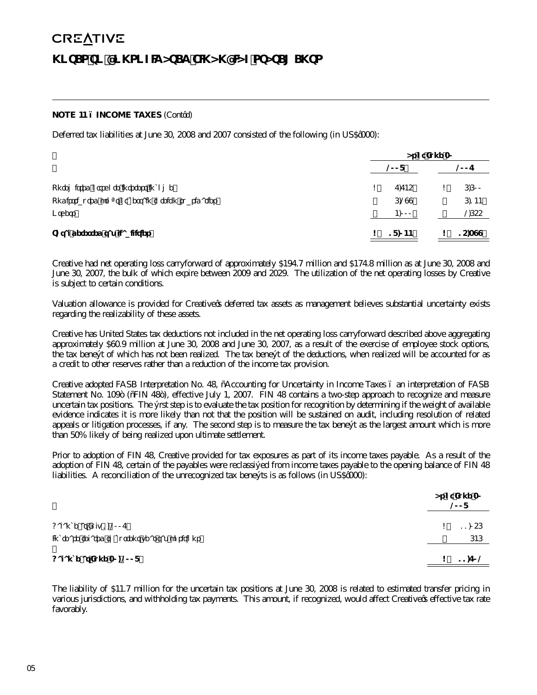## **NOTE 11 – INCOME TAXES** (Cont'd)

Deferred tax liabilities at June 30, 2008 and 2007 consisted of the following (in US\$'000):

|                                                     | As of June 30 |        |  |        |  |
|-----------------------------------------------------|---------------|--------|--|--------|--|
|                                                     |               | 2008   |  | 2007   |  |
| Unremitted offshore interest income                 | \$            | 7.745  |  | 6,600  |  |
| Undistributed profit of certain foreign subsidaries |               | 6,299  |  | 6,144  |  |
| Others                                              |               | 4,000  |  | 2,655  |  |
| Total deferred tax liabilities                      |               | 18,044 |  | 15,399 |  |

Creative had net operating loss carryforward of approximately \$194.7 million and \$174.8 million as at June 30, 2008 and June 30, 2007, the bulk of which expire between 2009 and 2029. The utilization of the net operating losses by Creative is subject to certain conditions.

Valuation allowance is provided for Creative's deferred tax assets as management believes substantial uncertainty exists regarding the realizability of these assets.

Creative has United States tax deductions not included in the net operating loss carryforward described above aggregating approximately \$60.9 million at June 30, 2008 and June 30, 2007, as a result of the exercise of employee stock options, the tax benefit of which has not been realized. The tax benefit of the deductions, when realized will be accounted for as a credit to other reserves rather than a reduction of the income tax provision.

Creative adopted FASB Interpretation No. 48, "Accounting for Uncertainty in Income Taxes – an interpretation of FASB Statement No. 109" ("FIN 48"), effective July 1, 2007. FIN 48 contains a two-step approach to recognize and measure uncertain tax positions. The first step is to evaluate the tax position for recognition by determining if the weight of available evidence indicates it is more likely than not that the position will be sustained on audit, including resolution of related appeals or litigation processes, if any. The second step is to measure the tax benefit as the largest amount which is more than 50% likely of being realized upon ultimate settlement.

Prior to adoption of FIN 48, Creative provided for tax exposures as part of its income taxes payable. As a result of the adoption of FIN 48, certain of the payables were reclassified from income taxes payable to the opening balance of FIN 48 liabilities. A reconciliation of the unrecognized tax benefits is as follows (in US\$'000):

|                                                                           | As of June 30<br>2008 |
|---------------------------------------------------------------------------|-----------------------|
| Balance at July 1, 2007<br>Increase related to current year tax positions | 11,056<br>646         |
| Balance at June 30, 2008                                                  | 11,702                |

The liability of \$11.7 million for the uncertain tax positions at June 30, 2008 is related to estimated transfer pricing in various jurisdictions, and withholding tax payments. This amount, if recognized, would affect Creative's effective tax rate favorably.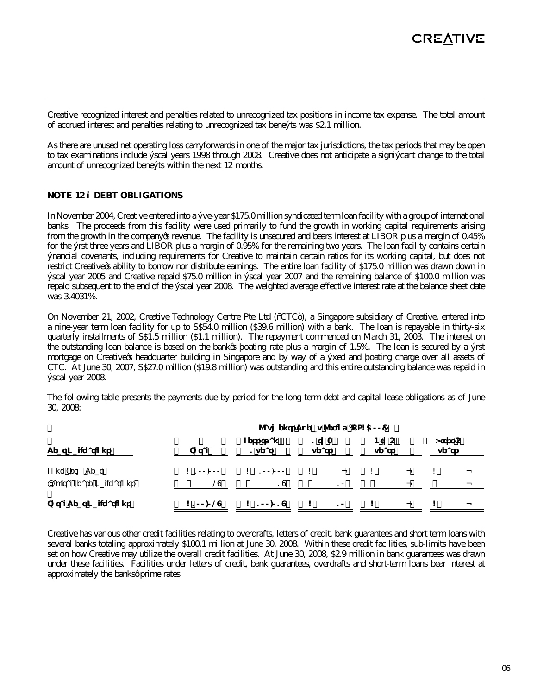Creative recognized interest and penalties related to unrecognized tax positions in income tax expense. The total amount of accrued interest and penalties relating to unrecognized tax benefits was \$2.1 million.

As there are unused net operating loss carryforwards in one of the major tax jurisdictions, the tax periods that may be open to tax examinations include fiscal years 1998 through 2008. Creative does not anticipate a significant change to the total amount of unrecognized benefits within the next 12 months.

## **NOTE 12 – DEBT OBLIGATIONS**

In November 2004, Creative entered into a five-year \$175.0 million syndicated term loan facility with a group of international banks. The proceeds from this facility were used primarily to fund the growth in working capital requirements arising from the growth in the company's revenue. The facility is unsecured and bears interest at LIBOR plus a margin of 0.45% for the first three years and LIBOR plus a margin of 0.95% for the remaining two years. The loan facility contains certain financial covenants, including requirements for Creative to maintain certain ratios for its working capital, but does not restrict Creative's ability to borrow nor distribute earnings. The entire loan facility of \$175.0 million was drawn down in fiscal year 2005 and Creative repaid \$75.0 million in fiscal year 2007 and the remaining balance of \$100.0 million was repaid subsequent to the end of the fiscal year 2008. The weighted average effective interest rate at the balance sheet date was 3.4031%.

On November 21, 2002, Creative Technology Centre Pte Ltd ("CTC"), a Singapore subsidiary of Creative, entered into a nine-year term loan facility for up to S\$54.0 million (\$39.6 million) with a bank. The loan is repayable in thirty-six quarterly installments of S\$1.5 million (\$1.1 million). The repayment commenced on March 31, 2003. The interest on the outstanding loan balance is based on the bank's floating rate plus a margin of 1.5%. The loan is secured by a first mortgage on Creative's headquarter building in Singapore and by way of a fixed and floating charge over all assets of CTC. At June 30, 2007, S\$27.0 million (\$19.8 million) was outstanding and this entire outstanding balance was repaid in fiscal year 2008.

The following table presents the payments due by period for the long term debt and capital lease obligations as of June 30, 2008:

| <b>Debt Obligations</b>       | Payments Due by Period (US\$'OOO) |                     |                          |                   |                          |                  |  |  |  |  |  |
|-------------------------------|-----------------------------------|---------------------|--------------------------|-------------------|--------------------------|------------------|--|--|--|--|--|
|                               | Total                             | Less than<br>1 year | 1 to $3$<br>years        | $4$ to 5<br>years |                          | After 5<br>years |  |  |  |  |  |
| Long Term Debt                | \$100,000                         | 100,000<br>\$       | $\overline{\phantom{m}}$ |                   | -                        | \$               |  |  |  |  |  |
| Capital Lease Obligations     | 29                                | 19                  | 10                       |                   | -                        |                  |  |  |  |  |  |
| <b>Total Debt Obligations</b> | \$100,029                         | 100,019<br>\$       | 10<br>\$                 | \$                | $\overline{\phantom{m}}$ | \$               |  |  |  |  |  |

Creative has various other credit facilities relating to overdrafts, letters of credit, bank guarantees and short term loans with several banks totaling approximately \$100.1 million at June 30, 2008. Within these credit facilities, sub-limits have been set on how Creative may utilize the overall credit facilities. At June 30, 2008, \$2.9 million in bank guarantees was drawn under these facilities. Facilities under letters of credit, bank guarantees, overdrafts and short-term loans bear interest at approximately the banks' prime rates.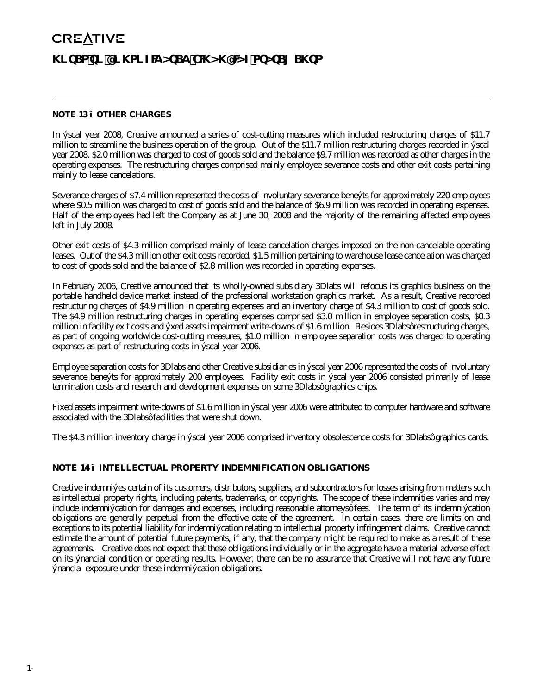### **NOTE 13 – OTHER CHARGES**

In fiscal year 2008, Creative announced a series of cost-cutting measures which included restructuring charges of \$11.7 million to streamline the business operation of the group. Out of the \$11.7 million restructuring charges recorded in fiscal year 2008, \$2.0 million was charged to cost of goods sold and the balance \$9.7 million was recorded as other charges in the operating expenses. The restructuring charges comprised mainly employee severance costs and other exit costs pertaining mainly to lease cancelations.

Severance charges of \$7.4 million represented the costs of involuntary severance benefits for approximately 220 employees where \$0.5 million was charged to cost of goods sold and the balance of \$6.9 million was recorded in operating expenses. Half of the employees had left the Company as at June 30, 2008 and the majority of the remaining affected employees left in July 2008.

Other exit costs of \$4.3 million comprised mainly of lease cancelation charges imposed on the non-cancelable operating leases. Out of the \$4.3 million other exit costs recorded, \$1.5 million pertaining to warehouse lease cancelation was charged to cost of goods sold and the balance of \$2.8 million was recorded in operating expenses.

In February 2006, Creative announced that its wholly-owned subsidiary 3Dlabs will refocus its graphics business on the portable handheld device market instead of the professional workstation graphics market. As a result, Creative recorded restructuring charges of \$4.9 million in operating expenses and an inventory charge of \$4.3 million to cost of goods sold. The \$4.9 million restructuring charges in operating expenses comprised \$3.0 million in employee separation costs, \$0.3 million in facility exit costs and fixed assets impairment write-downs of \$1.6 million. Besides 3Dlabs' restructuring charges, as part of ongoing worldwide cost-cutting measures, \$1.0 million in employee separation costs was charged to operating expenses as part of restructuring costs in fiscal year 2006.

Employee separation costs for 3Dlabs and other Creative subsidiaries in fiscal year 2006 represented the costs of involuntary severance benefits for approximately 200 employees. Facility exit costs in fiscal year 2006 consisted primarily of lease termination costs and research and development expenses on some 3Dlabs' graphics chips.

Fixed assets impairment write-downs of \$1.6 million in fiscal year 2006 were attributed to computer hardware and software associated with the 3Dlabs' facilities that were shut down.

The \$4.3 million inventory charge in fiscal year 2006 comprised inventory obsolescence costs for 3Dlabs' graphics cards.

## **NOTE 14 – INTELLECTUAL PROPERTY INDEMNIFICATION OBLIGATIONS**

Creative indemnifies certain of its customers, distributors, suppliers, and subcontractors for losses arising from matters such as intellectual property rights, including patents, trademarks, or copyrights. The scope of these indemnities varies and may include indemnification for damages and expenses, including reasonable attorneys' fees. The term of its indemnification obligations are generally perpetual from the effective date of the agreement. In certain cases, there are limits on and exceptions to its potential liability for indemnification relating to intellectual property infringement claims. Creative cannot estimate the amount of potential future payments, if any, that the company might be required to make as a result of these agreements. Creative does not expect that these obligations individually or in the aggregate have a material adverse effect on its financial condition or operating results. However, there can be no assurance that Creative will not have any future financial exposure under these indemnification obligations.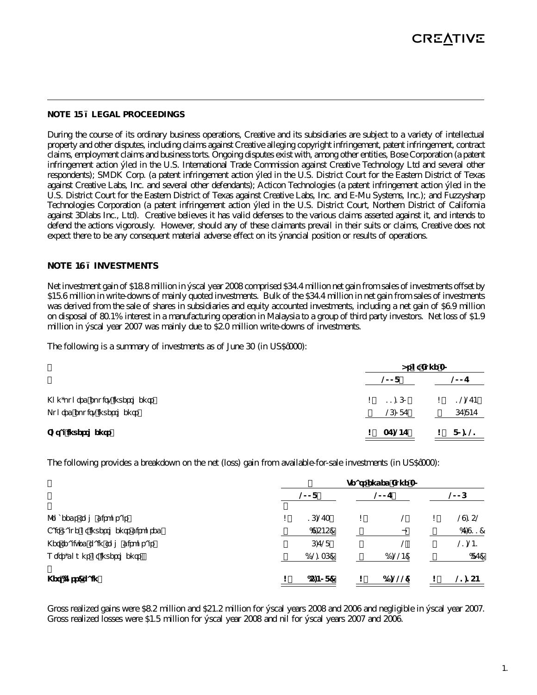#### **NOTE 15 – LEGAL PROCEEDINGS**

During the course of its ordinary business operations, Creative and its subsidiaries are subject to a variety of intellectual property and other disputes, including claims against Creative alleging copyright infringement, patent infringement, contract claims, employment claims and business torts. Ongoing disputes exist with, among other entities, Bose Corporation (a patent infringement action filed in the U.S. International Trade Commission against Creative Technology Ltd and several other respondents); SMDK Corp. (a patent infringement action filed in the U.S. District Court for the Eastern District of Texas against Creative Labs, Inc. and several other defendants); Acticon Technologies (a patent infringement action filed in the U.S. District Court for the Eastern District of Texas against Creative Labs, Inc. and E-Mu Systems, Inc.); and Fuzzysharp Technologies Corporation (a patent infringement action filed in the U.S. District Court, Northern District of California against 3Dlabs Inc., Ltd). Creative believes it has valid defenses to the various claims asserted against it, and intends to defend the actions vigorously. However, should any of these claimants prevail in their suits or claims, Creative does not expect there to be any consequent material adverse effect on its financial position or results of operations.

#### **NOTE 16 – INVESTMENTS**

Net investment gain of \$18.8 million in fiscal year 2008 comprised \$34.4 million net gain from sales of investments offset by \$15.6 million in write-downs of mainly quoted investments. Bulk of the \$34.4 million in net gain from sales of investments was derived from the sale of shares in subsidiaries and equity accounted investments, including a net gain of \$6.9 million on disposal of 80.1% interest in a manufacturing operation in Malaysia to a group of third party investors. Net loss of \$1.9 million in fiscal year 2007 was mainly due to \$2.0 million write-downs of investments.

The following is a summary of investments as of June 30 (in US\$'000):

|                                                            |    | As of June 30    |  |                  |  |
|------------------------------------------------------------|----|------------------|--|------------------|--|
|                                                            |    | 2008             |  | 2007             |  |
| Non-quoted equity investments<br>Quoted equity investments |    | 11.160<br>26,087 |  | 12,274<br>67,847 |  |
| <b>Total investments</b>                                   | S. | 37,247           |  | 80,121           |  |

The following provides a breakdown on the net (loss) gain from available-for-sale investments (in US\$'000):

|                                    | Years ended June 30 |           |    |          |    |          |
|------------------------------------|---------------------|-----------|----|----------|----|----------|
|                                    | 2008                |           |    | 2007     |    | 2006     |
| Proceeds from disposals            | \$                  | 16,273    | \$ |          | \$ | 29,152   |
| Fair value of investments disposed |                     | (9,545)   |    |          |    | (7, 911) |
| Net realized gain from disposals   |                     | 6,728     |    |          |    | 21,241   |
| Write-downs of investments         |                     | (12, 136) |    | (1, 224) |    | (87)     |
| Net (loss) gain                    | \$                  | (5,408)   | \$ | (1,222)  |    | 21,154   |

Gross realized gains were \$8.2 million and \$21.2 million for fiscal years 2008 and 2006 and negligible in fiscal year 2007. Gross realized losses were \$1.5 million for fiscal year 2008 and nil for fiscal years 2007 and 2006.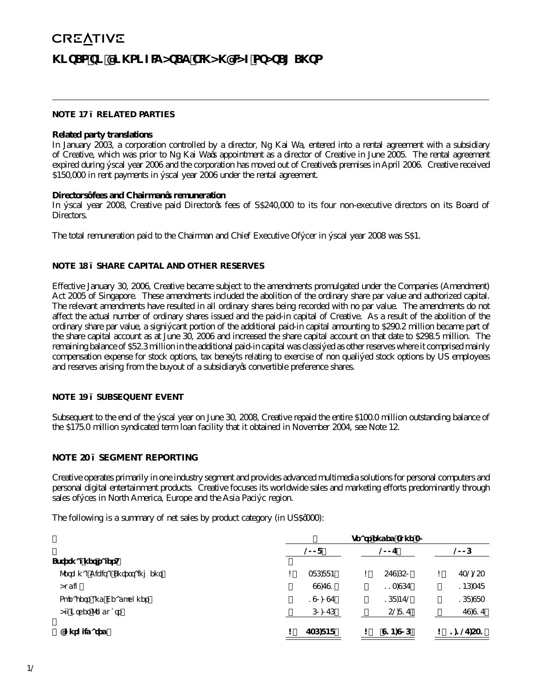#### **NOTE 17 – RELATED PARTIES**

### **Related party translations**

In January 2003, a corporation controlled by a director, Ng Kai Wa, entered into a rental agreement with a subsidiary of Creative, which was prior to Ng Kai Wa's appointment as a director of Creative in June 2005. The rental agreement expired during fiscal year 2006 and the corporation has moved out of Creative's premises in April 2006. Creative received \$150,000 in rent payments in fiscal year 2006 under the rental agreement.

#### **Directors' fees and Chairman's remuneration**

In fiscal year 2008, Creative paid Director's fees of S\$240,000 to its four non-executive directors on its Board of Directors.

The total remuneration paid to the Chairman and Chief Executive Officer in fiscal year 2008 was S\$1.

#### **NOTE 18 – SHARE CAPITAL AND OTHER RESERVES**

Effective January 30, 2006, Creative became subject to the amendments promulgated under the Companies (Amendment) Act 2005 of Singapore. These amendments included the abolition of the ordinary share par value and authorized capital. The relevant amendments have resulted in all ordinary shares being recorded with no par value. The amendments do not affect the actual number of ordinary shares issued and the paid-in capital of Creative. As a result of the abolition of the ordinary share par value, a significant portion of the additional paid-in capital amounting to \$290.2 million became part of the share capital account as at June 30, 2006 and increased the share capital account on that date to \$298.5 million. The remaining balance of \$52.3 million in the additional paid-in capital was classified as other reserves where it comprised mainly compensation expense for stock options, tax benefits relating to exercise of non qualified stock options by US employees and reserves arising from the buyout of a subsidiary's convertible preference shares.

## **NOTE 19 – SUBSEQUENT EVENT**

Subsequent to the end of the fiscal year on June 30, 2008, Creative repaid the entire \$100.0 million outstanding balance of the \$175.0 million syndicated term loan facility that it obtained in November 2004, see Note 12.

#### **NOTE 20 – SEGMENT REPORTING**

Creative operates primarily in one industry segment and provides advanced multimedia solutions for personal computers and personal digital entertainment products. Creative focuses its worldwide sales and marketing efforts predominantly through sales offices in North America, Europe and the Asia Pacific region.

The following is a summary of net sales by product category (in US\$'000):

|                                | Years ended June 30 |               |         |    |           |  |  |  |  |
|--------------------------------|---------------------|---------------|---------|----|-----------|--|--|--|--|
|                                | 2008                |               | 2007    |    | 2006      |  |  |  |  |
| External net sales             |                     |               |         |    |           |  |  |  |  |
| Personal Digital Entertainment | \$                  | 386,884<br>\$ | 579,650 | \$ | 732,253   |  |  |  |  |
| Audio                          |                     | 99,791        | 113.967 |    | 146,378   |  |  |  |  |
| Speakers and Headphones        |                     | 190,097       | 168.472 |    | 168,983   |  |  |  |  |
| All Other Products             |                     | 60,076        | 52,817  |    | 79,917    |  |  |  |  |
| Consolidated                   | \$                  | 736,848       | 914,906 |    | 1,127,531 |  |  |  |  |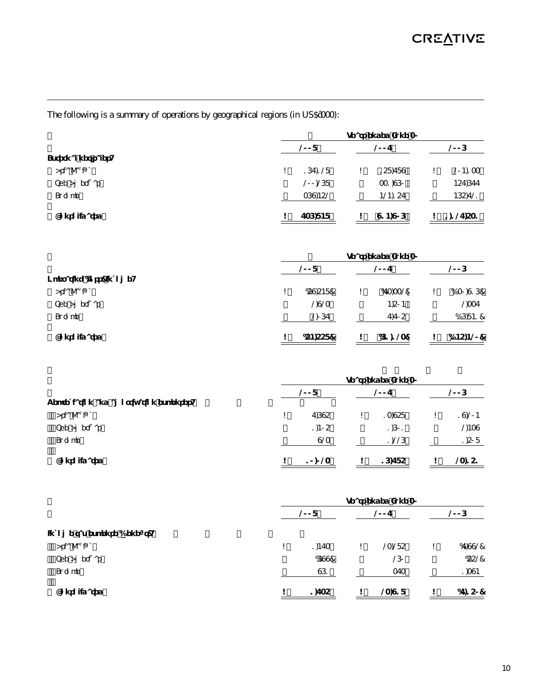The following is a summary of operations by geographical regions (in US\$'000):

|                    | Years ended June 30 |               |                |  |  |  |
|--------------------|---------------------|---------------|----------------|--|--|--|
|                    | 2008                | 2007          | 2006           |  |  |  |
| External net sales |                     |               |                |  |  |  |
| Asia Pacific       | 167.128<br>\$       | 158,789<br>\$ | 204,133<br>\$  |  |  |  |
| The Americas       | 200,268             | 331,960       | 457,677        |  |  |  |
| Europe             | 369,452             | 424,157       | 465,721        |  |  |  |
| Consolidated       | 736,848             | 914,906<br>\$ | 1,127,531<br>S |  |  |  |

|                          | Years ended June 30 |          |    |           |    |            |
|--------------------------|---------------------|----------|----|-----------|----|------------|
|                          |                     | 2008     |    | 2007      |    | 2006       |
| Operating (loss) income: |                     |          |    |           |    |            |
| Asia Pacific             | \$                  | (59,548) | \$ | (73, 332) | \$ | (130,916)  |
| The Americas             |                     | 2,923    |    | 4,504     |    | 2,337      |
| Europe                   |                     | 2,067    |    | 7,705     |    | (16, 841)  |
| Consolidated             | S                   | (54,558) |    | (61, 123) |    | (145, 420) |

|                                        | Years ended June 30 |        |    |        |    |        |
|----------------------------------------|---------------------|--------|----|--------|----|--------|
|                                        |                     | 2008   |    | 2007   |    | 2006   |
| Depreciation and amortization expenses |                     |        |    |        |    |        |
| Asia Pacific                           | \$                  | 7.695  | \$ | 13.958 | \$ | 19,204 |
| The Americas                           |                     | 1,405  |    | 1,601  |    | 2,439  |
| Europe                                 |                     | 923    |    | 1,226  |    | 1,508  |
| Consolidated                           | \$                  | 10,023 |    | 16,785 |    | 23,151 |

|                               | Years ended June 30 |             |        |    |          |
|-------------------------------|---------------------|-------------|--------|----|----------|
|                               | 2008                |             | 2007   |    | 2006     |
| Income tax expense (benefit): |                     |             |        |    |          |
| Asia Pacific                  | \$                  | 1,473<br>\$ | 23,285 | \$ | (7,992)  |
| The Americas                  |                     | (699)       | 260    |    | (552)    |
| Europe                        |                     | 961         | 373    |    | 1,394    |
| Consolidated                  | \$                  | 1,735<br>\$ | 23,918 | \$ | (7, 150) |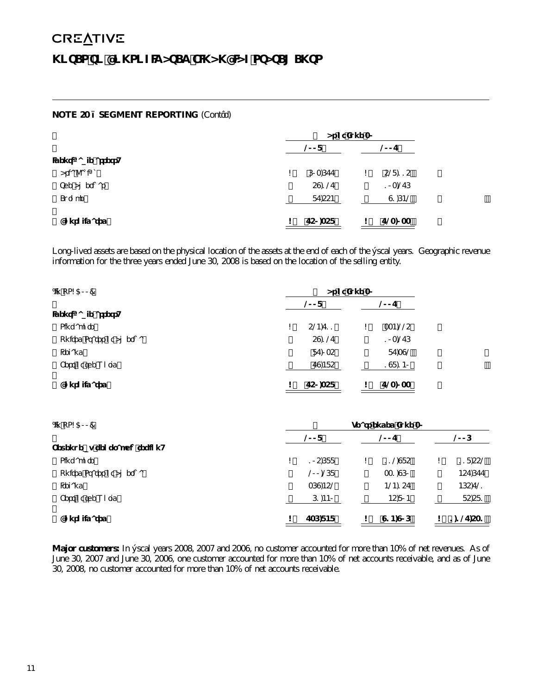# **NOTE 20 – SEGMENT REPORTING** (Cont'd)

|                      |    | As of June 30 |    |         |  |
|----------------------|----|---------------|----|---------|--|
|                      |    | 2008          |    | 2007    |  |
| Identifiable assets: |    |               |    |         |  |
| Asia Pacific         | \$ | 603,677       | \$ | 528,115 |  |
| The Americas         |    | 59,127        |    | 103,276 |  |
| Europe               |    | 87,554        |    | 91,642  |  |
| Consolidated         | \$ | 750,358       | \$ | 723,033 |  |

Long-lived assets are based on the physical location of the assets at the end of each of the fiscal years. Geographic revenue information for the three years ended June 30, 2008 is based on the location of the selling entity.

| (In US\$'000)            |    | As of June 30 |    |         |  |
|--------------------------|----|---------------|----|---------|--|
|                          |    | 2007          |    |         |  |
| Identifiable assets:     |    |               |    |         |  |
| Singapore                | \$ | 524,711       | \$ | 334,225 |  |
| United States of America |    | 59.127        |    | 103,276 |  |
| Ireland                  |    | 87,035        |    | 87,392  |  |
| Rest of the World        |    | 79,485        |    | 198,140 |  |
| Consolidated             | \$ | 750,358       | \$ | 723,033 |  |

| $($ ln US\$' $000)$           | Years ended June 30 |         |    |         |    |           |
|-------------------------------|---------------------|---------|----|---------|----|-----------|
|                               |                     | 2008    |    | 2007    |    | 2006      |
| Revenue by geographic region: |                     |         |    |         |    |           |
| Singapore                     | \$                  | 105,688 | \$ | 112.985 | \$ | 118,552   |
| United States of America      |                     | 200,268 |    | 331,960 |    | 457,677   |
| Ireland                       |                     | 369,452 |    | 424.157 |    | 465,721   |
| Rest of the World             |                     | 61,440  |    | 45,804  |    | 85,581    |
| Consolidated                  | \$                  | 736.848 | \$ | 914,906 | \$ | 1,127,531 |

**Major customers:** In fiscal years 2008, 2007 and 2006, no customer accounted for more than 10% of net revenues. As of June 30, 2007 and June 30, 2006, one customer accounted for more than 10% of net accounts receivable, and as of June 30, 2008, no customer accounted for more than 10% of net accounts receivable.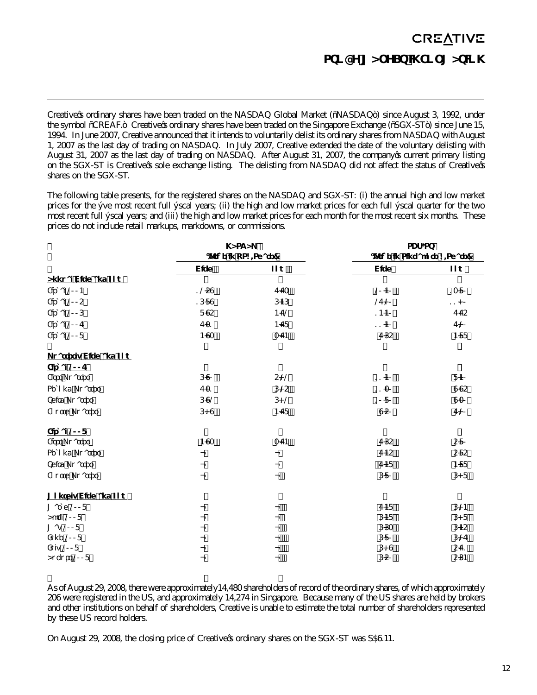# **CREATIVE STOCK MARKET INFORMATION**

Creative's ordinary shares have been traded on the NASDAQ Global Market ("NASDAQ") since August 3, 1992, under the symbol "CREAF." Creative's ordinary shares have been traded on the Singapore Exchange ("SGX-ST") since June 15, 1994. In June 2007, Creative announced that it intends to voluntarily delist its ordinary shares from NASDAQ with August 1, 2007 as the last day of trading on NASDAQ. In July 2007, Creative extended the date of the voluntary delisting with August 31, 2007 as the last day of trading on NASDAQ. After August 31, 2007, the company's current primary listing on the SGX-ST is Creative's sole exchange listing. The delisting from NASDAQ did not affect the status of Creative's shares on the SGX-ST.

The following table presents, for the registered shares on the NASDAQ and SGX-ST: (i) the annual high and low market prices for the five most recent full fiscal years; (ii) the high and low market prices for each full fiscal quarter for the two most recent full fiscal years; and (iii) the high and low market prices for each month for the most recent six months. These prices do not include retail markups, markdowns, or commissions.

|                               | <b>NASDAQ</b>         |      | <b>SGX-ST</b>                 |       |
|-------------------------------|-----------------------|------|-------------------------------|-------|
|                               | (Price in US\$/Share) |      | (Price in Singapore \$/Share) |       |
|                               | High                  | Low  | High                          | Low   |
| <b>Annual High and Low</b>    |                       |      |                               |       |
| Fiscal 2004                   | 1259                  | 7.73 | 20.40                         | 13.80 |
| Fiscal 2005                   | 16.89                 | 6.46 | 27.20                         | 11.00 |
| Fiscal 2006                   | 8.95                  | 4.72 | 14.40                         | 7.75  |
| Fiscal 2007                   | 7.31                  | 4.78 | 11.40                         | 7.20  |
| Fiscal 2008                   | 4.93                  | 3.74 | 7.65                          | 4.88  |
| <b>Quarterly High and Low</b> |                       |      |                               |       |
| Fiscal 2007                   |                       |      |                               |       |
| <b>First Quarter</b>          | 6.90                  | 5.22 | 11.40                         | 8.40  |
| Second Quarter                | 7.31                  | 6.25 | 11.30                         | 9.95  |
| <b>Third Quarter</b>          | 6.92                  | 6.12 | 10.80                         | 9.30  |
| Fourth Quarter                | 6.19                  | 4.78 | 9.50                          | 7.20  |
| Fiscal 2008                   |                       |      |                               |       |
| <b>First Quarter</b>          | 4.93                  | 3.74 | 7.65                          | 5.80  |
| Second Quarter                | -                     |      | 7.45                          | 5.85  |
| <b>Third Quarter</b>          |                       |      | 7.48                          | 4.88  |
| <b>Fourth Quarter</b>         |                       |      | 6.80                          | 6.08  |
| <b>Monthly High and Low</b>   |                       |      |                               |       |
| March 2008                    | -                     |      | 7.48                          | 6.24  |
| April 2008                    |                       |      | 6.48                          | 6.08  |
| May 2008                      |                       |      | 6.63                          | 6.45  |
| <b>June 2008</b>              |                       |      | 6.80                          | 6.27  |
| <b>July 2008</b>              |                       |      | 6.19                          | 5.71  |
| August 2008                   |                       |      | 6.50                          | 5.64  |

As of August 29, 2008, there were approximately14,480 shareholders of record of the ordinary shares, of which approximately 206 were registered in the US, and approximately 14,274 in Singapore. Because many of the US shares are held by brokers and other institutions on behalf of shareholders, Creative is unable to estimate the total number of shareholders represented by these US record holders.

On August 29, 2008, the closing price of Creative's ordinary shares on the SGX-ST was S\$6.11.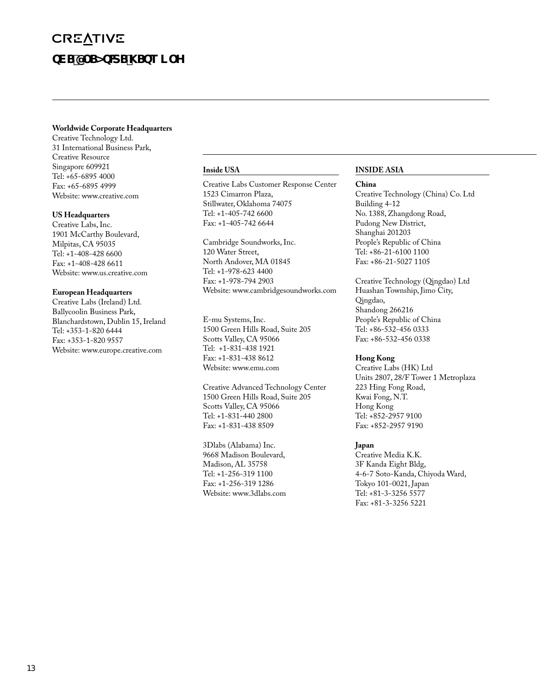# **CREATIVE THE CREATIVE NETWORK**

#### **Worldwide Corporate Headquarters**

Creative Technology Ltd. 31 International Business Park, Creative Resource Singapore 609921 Tel: +65-6895 4000 Fax: +65-6895 4999 Website: www.creative.com

#### **US Headquarters**

Creative Labs, Inc. 1901 McCarthy Boulevard, Milpitas, CA 95035 Tel: +1-408-428 6600 Fax: +1-408-428 6611 Website: www.us.creative.com

#### **European Headquarters**

Creative Labs (Ireland) Ltd. Ballycoolin Business Park, Blanchardstown, Dublin 15, Ireland Tel: +353-1-820 6444 Fax: +353-1-820 9557 Website: www.europe.creative.com

#### **Inside USA**

Creative Labs Customer Response Center 1523 Cimarron Plaza, Stillwater, Oklahoma 74075 Tel: +1-405-742 6600 Fax: +1-405-742 6644

Cambridge Soundworks, Inc. 120 Water Street, North Andover, MA 01845 Tel: +1-978-623 4400 Fax: +1-978-794 2903 Website: www.cambridgesoundworks.com

E-mu Systems, Inc. 1500 Green Hills Road, Suite 205 Scotts Valley, CA 95066 Tel: +1-831-438 1921 Fax: +1-831-438 8612 Website: www.emu.com

Creative Advanced Technology Center 1500 Green Hills Road, Suite 205 Scotts Valley, CA 95066 Tel: +1-831-440 2800 Fax: +1-831-438 8509

3Dlabs (Alabama) Inc. 9668 Madison Boulevard, Madison, AL 35758 Tel: +1-256-319 1100 Fax: +1-256-319 1286 Website: www.3dlabs.com

## **INSIDE ASIA**

#### **China**

Creative Technology (China) Co. Ltd Building 4-12 No. 1388, Zhangdong Road, Pudong New District, Shanghai 201203 People's Republic of China Tel: +86-21-6100 1100 Fax: +86-21-5027 1105

Creative Technology (Qingdao) Ltd Huashan Township, Jimo City, Qingdao, Shandong 266216 People's Republic of China Tel: +86-532-456 0333 Fax: +86-532-456 0338

## **Hong Kong**

Creative Labs (HK) Ltd Units 2807, 28/F Tower 1 Metroplaza 223 Hing Fong Road, Kwai Fong, N.T. Hong Kong Tel: +852-2957 9100 Fax: +852-2957 9190

## **Japan**

Creative Media K.K. 3F Kanda Eight Bldg, 4-6-7 Soto-Kanda, Chiyoda Ward, Tokyo 101-0021, Japan Tel: +81-3-3256 5577 Fax: +81-3-3256 5221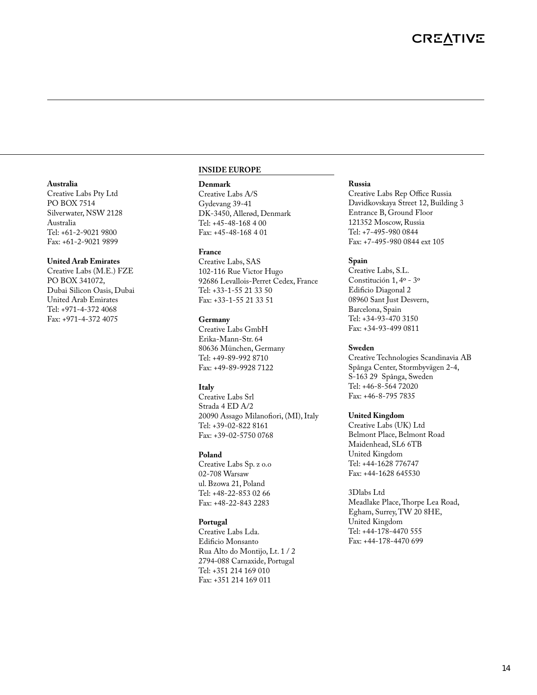#### **Australia**

Creative Labs Pty Ltd PO BOX 7514 Silverwater, NSW 2128 Australia Tel: +61-2-9021 9800 Fax: +61-2-9021 9899

#### **United Arab Emirates**

Creative Labs (M.E.) FZE PO BOX 341072, Dubai Silicon Oasis, Dubai United Arab Emirates Tel: +971-4-372 4068 Fax: +971-4-372 4075

#### **INSIDE EUROPE**

#### **Denmark**

Creative Labs A/S Gydevang 39-41 DK-3450, Allerød, Denmark Tel: +45-48-168 4 00 Fax: +45-48-168 4 01

#### **France**

Creative Labs, SAS 102-116 Rue Victor Hugo 92686 Levallois-Perret Cedex, France Tel: +33-1-55 21 33 50 Fax: +33-1-55 21 33 51

#### **Germany**

Creative Labs GmbH Erika-Mann-Str. 64 80636 München, Germany Tel: +49-89-992 8710 Fax: +49-89-9928 7122

#### **Italy**

Creative Labs Srl Strada 4 ED A/2 20090 Assago Milanofiori, (MI), Italy Tel: +39-02-822 8161 Fax: +39-02-5750 0768

#### **Poland**

Creative Labs Sp. z o.o 02-708 Warsaw ul. Bzowa 21, Poland Tel: +48-22-853 02 66 Fax: +48-22-843 2283

### **Portugal**

Creative Labs Lda. Edificio Monsanto Rua Alto do Montijo, Lt. 1 / 2 2794-088 Carnaxide, Portugal Tel: +351 214 169 010 Fax: +351 214 169 011

#### **Russia**

Creative Labs Rep Office Russia Davidkovskaya Street 12, Building 3 Entrance B, Ground Floor 121352 Moscow, Russia Tel: +7-495-980 0844 Fax: +7-495-980 0844 ext 105

#### **Spain**

Creative Labs, S.L. Constitución 1, 4º - 3º Edificio Diagonal 2 08960 Sant Just Desvern, Barcelona, Spain Tel: +34-93-470 3150 Fax: +34-93-499 0811

#### **Sweden**

Creative Technologies Scandinavia AB Spånga Center, Stormbyvägen 2-4, S-163 29 Spånga, Sweden Tel: +46-8-564 72020 Fax: +46-8-795 7835

#### **United Kingdom**

Creative Labs (UK) Ltd Belmont Place, Belmont Road Maidenhead, SL6 6TB United Kingdom Tel: +44-1628 776747 Fax: +44-1628 645530

3Dlabs Ltd Meadlake Place, Thorpe Lea Road, Egham, Surrey, TW 20 8HE, United Kingdom Tel: +44-178-4470 555 Fax: +44-178-4470 699